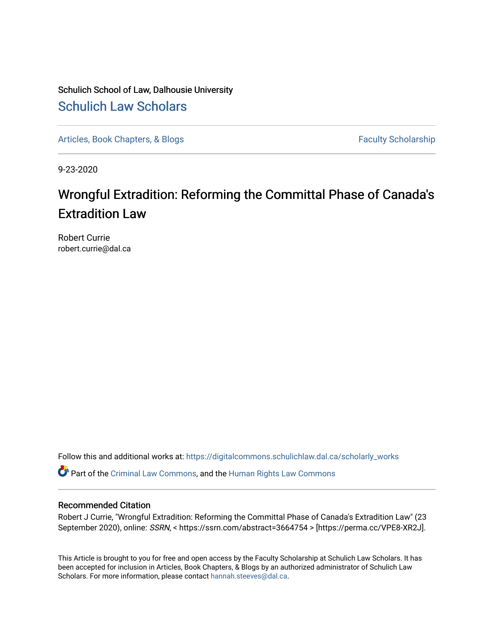Schulich School of Law, Dalhousie University [Schulich Law Scholars](https://digitalcommons.schulichlaw.dal.ca/) 

[Articles, Book Chapters, & Blogs](https://digitalcommons.schulichlaw.dal.ca/scholarly_works) Faculty Scholarship

9-23-2020

## Wrongful Extradition: Reforming the Committal Phase of Canada's Extradition Law

Robert Currie robert.currie@dal.ca

Follow this and additional works at: [https://digitalcommons.schulichlaw.dal.ca/scholarly\\_works](https://digitalcommons.schulichlaw.dal.ca/scholarly_works?utm_source=digitalcommons.schulichlaw.dal.ca%2Fscholarly_works%2F498&utm_medium=PDF&utm_campaign=PDFCoverPages) 

Part of the [Criminal Law Commons,](http://network.bepress.com/hgg/discipline/912?utm_source=digitalcommons.schulichlaw.dal.ca%2Fscholarly_works%2F498&utm_medium=PDF&utm_campaign=PDFCoverPages) and the [Human Rights Law Commons](http://network.bepress.com/hgg/discipline/847?utm_source=digitalcommons.schulichlaw.dal.ca%2Fscholarly_works%2F498&utm_medium=PDF&utm_campaign=PDFCoverPages) 

#### Recommended Citation

Robert J Currie, "Wrongful Extradition: Reforming the Committal Phase of Canada's Extradition Law" (23 September 2020), online: SSRN, < https://ssrn.com/abstract=3664754 > [https://perma.cc/VPE8-XR2J].

This Article is brought to you for free and open access by the Faculty Scholarship at Schulich Law Scholars. It has been accepted for inclusion in Articles, Book Chapters, & Blogs by an authorized administrator of Schulich Law Scholars. For more information, please contact [hannah.steeves@dal.ca](mailto:hannah.steeves@dal.ca).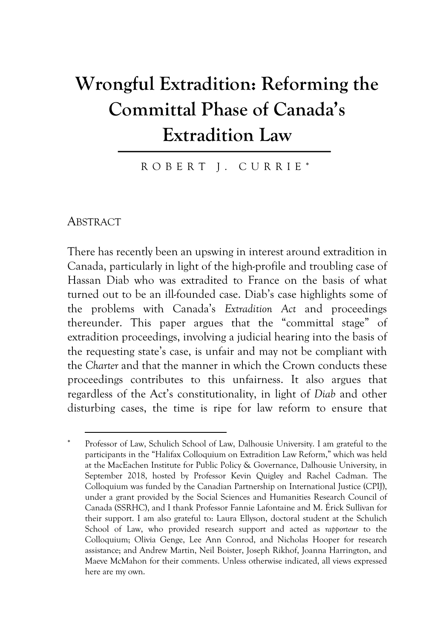# **Wrongful Extradition: Reforming the Committal Phase of Canada's Extradition Law**

ROBERT J. CURRIE \*

ABSTRACT

There has recently been an upswing in interest around extradition in Canada, particularly in light of the high-profile and troubling case of Hassan Diab who was extradited to France on the basis of what turned out to be an ill-founded case. Diab's case highlights some of the problems with Canada's *Extradition Act* and proceedings thereunder. This paper argues that the "committal stage" of extradition proceedings, involving a judicial hearing into the basis of the requesting state's case, is unfair and may not be compliant with the *Charter* and that the manner in which the Crown conducts these proceedings contributes to this unfairness. It also argues that regardless of the Act's constitutionality, in light of *Diab* and other disturbing cases, the time is ripe for law reform to ensure that

Professor of Law, Schulich School of Law, Dalhousie University. I am grateful to the participants in the "Halifax Colloquium on Extradition Law Reform," which was held at the MacEachen Institute for Public Policy & Governance, Dalhousie University, in September 2018, hosted by Professor Kevin Quigley and Rachel Cadman. The Colloquium was funded by the Canadian Partnership on International Justice (CPIJ), under a grant provided by the Social Sciences and Humanities Research Council of Canada (SSRHC), and I thank Professor Fannie Lafontaine and M. Érick Sullivan for their support. I am also grateful to: Laura Ellyson, doctoral student at the Schulich School of Law, who provided research support and acted as *rapporteur* to the Colloquium; Olivia Genge, Lee Ann Conrod, and Nicholas Hooper for research assistance; and Andrew Martin, Neil Boister, Joseph Rikhof, Joanna Harrington, and Maeve McMahon for their comments. Unless otherwise indicated, all views expressed here are my own.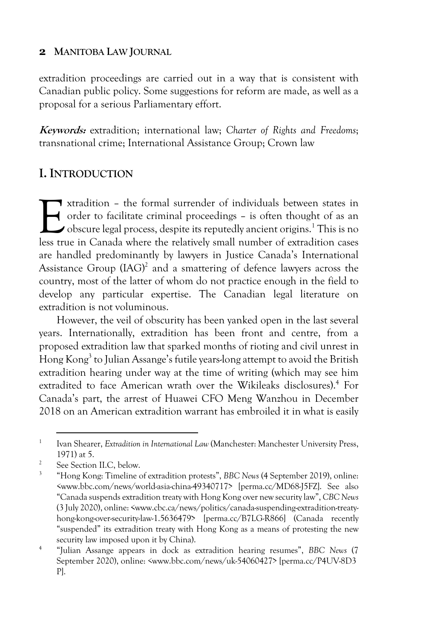extradition proceedings are carried out in a way that is consistent with Canadian public policy. Some suggestions for reform are made, as well as a proposal for a serious Parliamentary effort.

**Keywords:** extradition; international law; *Charter of Rights and Freedoms*; transnational crime; International Assistance Group; Crown law

## **I. INTRODUCTION**

xtradition – the formal surrender of individuals between states in order to facilitate criminal proceedings – is often thought of as an obscure legal process, despite its reputedly ancient origins.<sup>1</sup> This is no Interaction - the formal surrender of individuals between states in order to facilitate criminal proceedings - is often thought of as an obscure legal process, despite its reputedly ancient origins.<sup>1</sup> This is no less true are handled predominantly by lawyers in Justice Canada's International Assistance Group  $(IG)^2$  and a smattering of defence lawyers across the country, most of the latter of whom do not practice enough in the field to develop any particular expertise. The Canadian legal literature on extradition is not voluminous.

However, the veil of obscurity has been yanked open in the last several years. Internationally, extradition has been front and centre, from a proposed extradition law that sparked months of rioting and civil unrest in Hong Kong<sup>3</sup> to Julian Assange's futile years-long attempt to avoid the British extradition hearing under way at the time of writing (which may see him extradited to face American wrath over the Wikileaks disclosures). <sup>4</sup> For Canada's part, the arrest of Huawei CFO Meng Wanzhou in December 2018 on an American extradition warrant has embroiled it in what is easily

<sup>&</sup>lt;sup>1</sup> Ivan Shearer, *Extradition in International Law* (Manchester: Manchester University Press, 1971) at 5.

<sup>&</sup>lt;sup>2</sup> See Section II.C, below.

<sup>3</sup> "Hong Kong: Timeline of extradition protests", *BBC News* (4 September 2019), online: <www.bbc.com/news/world-asia-china-49340717> [perma.cc/MD68-J5FZ]. See also "Canada suspends extradition treaty with Hong Kong over new security law", *CBC News* (3 July 2020), online: <www.cbc.ca/news/politics/canada-suspending-extradition-treatyhong-kong-over-security-law-1.5636479> [perma.cc/B7LG-R866] (Canada recently "suspended" its extradition treaty with Hong Kong as a means of protesting the new security law imposed upon it by China).

<sup>4</sup> "Julian Assange appears in dock as extradition hearing resumes", *BBC News* (7 September 2020), online: *<*www.bbc.com/news/uk-54060427> [perma.cc/P4UV-8D3 P].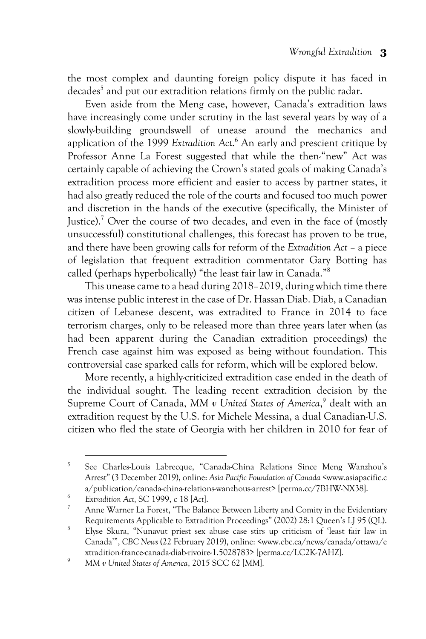the most complex and daunting foreign policy dispute it has faced in decades<sup>5</sup> and put our extradition relations firmly on the public radar.

Even aside from the Meng case, however, Canada's extradition laws have increasingly come under scrutiny in the last several years by way of a slowly-building groundswell of unease around the mechanics and application of the 1999 *Extradition Act*. <sup>6</sup> An early and prescient critique by Professor Anne La Forest suggested that while the then-"new" Act was certainly capable of achieving the Crown's stated goals of making Canada's extradition process more efficient and easier to access by partner states, it had also greatly reduced the role of the courts and focused too much power and discretion in the hands of the executive (specifically, the Minister of Justice).<sup>7</sup> Over the course of two decades, and even in the face of (mostly unsuccessful) constitutional challenges, this forecast has proven to be true, and there have been growing calls for reform of the *Extradition Act* – a piece of legislation that frequent extradition commentator Gary Botting has called (perhaps hyperbolically) "the least fair law in Canada."8

This unease came to a head during 2018–2019, during which time there was intense public interest in the case of Dr. Hassan Diab. Diab, a Canadian citizen of Lebanese descent, was extradited to France in 2014 to face terrorism charges, only to be released more than three years later when (as had been apparent during the Canadian extradition proceedings) the French case against him was exposed as being without foundation. This controversial case sparked calls for reform, which will be explored below.

More recently, a highly-criticized extradition case ended in the death of the individual sought. The leading recent extradition decision by the Supreme Court of Canada, *MM v United States of America*, <sup>9</sup> dealt with an extradition request by the U.S. for Michele Messina, a dual Canadian-U.S. citizen who fled the state of Georgia with her children in 2010 for fear of

<sup>5</sup> See Charles-Louis Labrecque, "Canada-China Relations Since Meng Wanzhou's Arrest" (3 December 2019), online: *Asia Pacific Foundation of Canada* <www.asiapacific.c a/publication/canada-china-relations-wanzhous-arrest> [perma.cc/7BHW-NX38].

<sup>6</sup> *Extradition Act,* SC 1999, c 18 [*Act*].

<sup>7</sup> Anne Warner La Forest, "The Balance Between Liberty and Comity in the Evidentiary Requirements Applicable to Extradition Proceedings" (2002) 28:1 Queen's LJ 95 (QL).

<sup>8</sup> Elyse Skura, "Nunavut priest sex abuse case stirs up criticism of 'least fair law in Canada'", *CBC News* (22 February 2019), online: <www.cbc.ca/news/canada/ottawa/e xtradition-france-canada-diab-rivoire-1.5028783> [perma.cc/LC2K-7AHZ].

<sup>9</sup> *MM v United States of America*, 2015 SCC 62 [*MM*].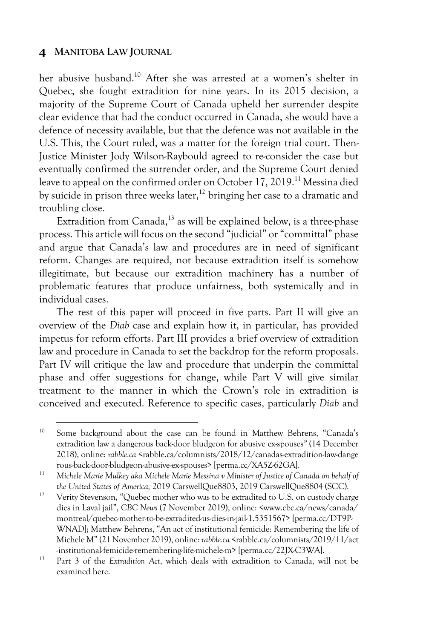her abusive husband.<sup>10</sup> After she was arrested at a women's shelter in Quebec, she fought extradition for nine years. In its 2015 decision, a majority of the Supreme Court of Canada upheld her surrender despite clear evidence that had the conduct occurred in Canada, she would have a defence of necessity available, but that the defence was not available in the U.S. This, the Court ruled, was a matter for the foreign trial court. Then-Justice Minister Jody Wilson-Raybould agreed to re-consider the case but eventually confirmed the surrender order, and the Supreme Court denied leave to appeal on the confirmed order on October 17, 2019.<sup>11</sup> Messina died by suicide in prison three weeks later, <sup>12</sup> bringing her case to a dramatic and troubling close.

Extradition from Canada,<sup>13</sup> as will be explained below, is a three-phase process. This article will focus on the second "judicial" or "committal" phase and argue that Canada's law and procedures are in need of significant reform. Changes are required, not because extradition itself is somehow illegitimate, but because our extradition machinery has a number of problematic features that produce unfairness, both systemically and in individual cases.

The rest of this paper will proceed in five parts. Part II will give an overview of the *Diab* case and explain how it, in particular, has provided impetus for reform efforts. Part III provides a brief overview of extradition law and procedure in Canada to set the backdrop for the reform proposals. Part IV will critique the law and procedure that underpin the committal phase and offer suggestions for change, while Part V will give similar treatment to the manner in which the Crown's role in extradition is conceived and executed. Reference to specific cases, particularly *Diab* and

<sup>&</sup>lt;sup>10</sup> Some background about the case can be found in Matthew Behrens, "Canada's extradition law a dangerous back-door bludgeon for abusive ex-spouses*"* (14 December 2018), online: *rabble.ca* <rabble.ca/columnists/2018/12/canadas-extradition-law-dange rous-back-door-bludgeon-abusive-ex-spouses> [perma.cc/XA5Z-62GA].

<sup>11</sup> *Michele Marie Mulkey aka Michele Marie Messina v Minister of Justice of Canada on behalf of the United States of America,* 2019 CarswellQue8803, 2019 CarswellQue8804 (SCC)*.*

<sup>&</sup>lt;sup>12</sup> Verity Stevenson, "Quebec mother who was to be extradited to U.S. on custody charge dies in Laval jail", *CBC News* (7 November 2019), online: <www.cbc.ca/news/canada/ montreal/quebec-mother-to-be-extradited-us-dies-in-jail-1.5351567> [perma.cc/DT9P-WNAD]; Matthew Behrens, "An act of institutional femicide: Remembering the life of Michele M" (21 November 2019), online: *rabble.ca* <rabble.ca/columnists/2019/11/act -institutional-femicide-remembering-life-michele-m> [perma.cc/22JX-C3WA].

<sup>13</sup> Part 3 of the *Extradition Act*, which deals with extradition to Canada, will not be examined here.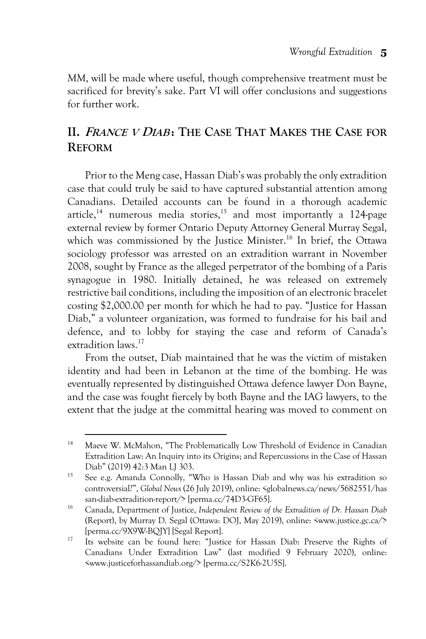*MM*, will be made where useful, though comprehensive treatment must be sacrificed for brevity's sake. Part VI will offer conclusions and suggestions for further work.

## **II. FRANCE <sup>V</sup> DIAB : THE CASE THAT MAKES THE CASE FOR REFORM**

Prior to the Meng case, Hassan Diab's was probably the only extradition case that could truly be said to have captured substantial attention among Canadians. Detailed accounts can be found in a thorough academic article,<sup>14</sup> numerous media stories,<sup>15</sup> and most importantly a 124-page external review by former Ontario Deputy Attorney General Murray Segal, which was commissioned by the Justice Minister. <sup>16</sup> In brief, the Ottawa sociology professor was arrested on an extradition warrant in November 2008, sought by France as the alleged perpetrator of the bombing of a Paris synagogue in 1980. Initially detained, he was released on extremely restrictive bail conditions, including the imposition of an electronic bracelet costing \$2,000.00 per month for which he had to pay. "Justice for Hassan Diab," a volunteer organization, was formed to fundraise for his bail and defence, and to lobby for staying the case and reform of Canada's extradition laws.<sup>17</sup>

From the outset, Diab maintained that he was the victim of mistaken identity and had been in Lebanon at the time of the bombing. He was eventually represented by distinguished Ottawa defence lawyer Don Bayne, and the case was fought fiercely by both Bayne and the IAG lawyers, to the extent that the judge at the committal hearing was moved to comment on

<sup>&</sup>lt;sup>14</sup> Maeve W. McMahon, "The Problematically Low Threshold of Evidence in Canadian Extradition Law: An Inquiry into its Origins; and Repercussions in the Case of Hassan Diab" (2019) 42:3 Man LJ 303.

<sup>&</sup>lt;sup>15</sup> See e.g. Amanda Connolly, "Who is Hassan Diab and why was his extradition so controversial?", *Global News* (26 July 2019), online: <globalnews.ca/news/5682551/has san-diab-extradition-report/> [perma.cc/74D3-GF65].

<sup>16</sup> Canada, Department of Justice, *Independent Review of the Extradition of Dr. Hassan Diab*  (Report), by Murray D. Segal (Ottawa: DOJ, May 2019), online: <www.justice.gc.ca/> [perma.cc/9X9W-BQJY] [Segal Report].

<sup>&</sup>lt;sup>17</sup> Its website can be found here: "Justice for Hassan Diab: Preserve the Rights of Canadians Under Extradition Law" (last modified 9 February 2020), online: <www.justiceforhassandiab.org/> [perma.cc/S2K6-2U5S].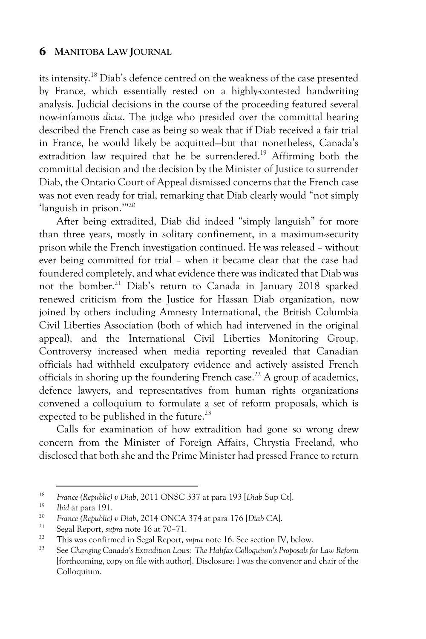its intensity.18 Diab's defence centred on the weakness of the case presented by France, which essentially rested on a highly-contested handwriting analysis. Judicial decisions in the course of the proceeding featured several now-infamous *dicta*. The judge who presided over the committal hearing described the French case as being so weak that if Diab received a fair trial in France, he would likely be acquitted—but that nonetheless, Canada's extradition law required that he be surrendered.<sup>19</sup> Affirming both the committal decision and the decision by the Minister of Justice to surrender Diab, the Ontario Court of Appeal dismissed concerns that the French case was not even ready for trial, remarking that Diab clearly would "not simply 'languish in prison.'"20

After being extradited, Diab did indeed "simply languish" for more than three years, mostly in solitary confinement, in a maximum-security prison while the French investigation continued. He was released – without ever being committed for trial – when it became clear that the case had foundered completely, and what evidence there was indicated that Diab was not the bomber. <sup>21</sup> Diab's return to Canada in January 2018 sparked renewed criticism from the Justice for Hassan Diab organization, now joined by others including Amnesty International, the British Columbia Civil Liberties Association (both of which had intervened in the original appeal), and the International Civil Liberties Monitoring Group. Controversy increased when media reporting revealed that Canadian officials had withheld exculpatory evidence and actively assisted French officials in shoring up the foundering French case.<sup>22</sup> A group of academics, defence lawyers, and representatives from human rights organizations convened a colloquium to formulate a set of reform proposals, which is expected to be published in the future.<sup>23</sup>

Calls for examination of how extradition had gone so wrong drew concern from the Minister of Foreign Affairs, Chrystia Freeland, who disclosed that both she and the Prime Minister had pressed France to return

<sup>18</sup> *France (Republic) v Diab*, 2011 ONSC 337 at para 193 [*Diab* Sup Ct].

<sup>&</sup>lt;sup>19</sup> *Ibid* at para 191.

<sup>20</sup> *France (Republic) v Diab*, 2014 ONCA 374 at para 176 [*Diab* CA].

<sup>21</sup> Segal Report, *supra* note 16 at 70–71.

<sup>22</sup> This was confirmed in Segal Report, *supra* note 16. See section IV, below.

<sup>23</sup> See *Changing Canada's Extradition Laws: The Halifax Colloquium's Proposals for Law Reform* [forthcoming, copy on file with author]. Disclosure: I was the convenor and chair of the Colloquium.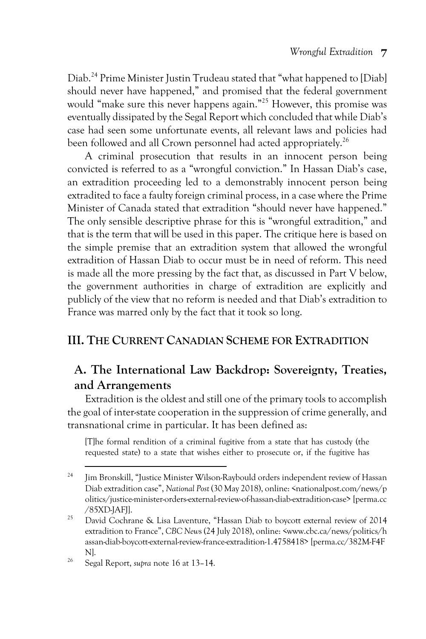Diab.24 Prime Minister Justin Trudeau stated that "what happened to [Diab] should never have happened," and promised that the federal government would "make sure this never happens again."25 However, this promise was eventually dissipated by the Segal Report which concluded that while Diab's case had seen some unfortunate events, all relevant laws and policies had been followed and all Crown personnel had acted appropriately.<sup>26</sup>

A criminal prosecution that results in an innocent person being convicted is referred to as a "wrongful conviction." In Hassan Diab's case, an extradition proceeding led to a demonstrably innocent person being extradited to face a faulty foreign criminal process, in a case where the Prime Minister of Canada stated that extradition "should never have happened." The only sensible descriptive phrase for this is "wrongful extradition," and that is the term that will be used in this paper. The critique here is based on the simple premise that an extradition system that allowed the wrongful extradition of Hassan Diab to occur must be in need of reform. This need is made all the more pressing by the fact that, as discussed in Part V below, the government authorities in charge of extradition are explicitly and publicly of the view that no reform is needed and that Diab's extradition to France was marred only by the fact that it took so long.

## **III. THE CURRENT CANADIAN SCHEME FOR EXTRADITION**

## **A. The International Law Backdrop: Sovereignty, Treaties, and Arrangements**

Extradition is the oldest and still one of the primary tools to accomplish the goal of inter-state cooperation in the suppression of crime generally, and transnational crime in particular. It has been defined as:

[T]he formal rendition of a criminal fugitive from a state that has custody (the requested state) to a state that wishes either to prosecute or, if the fugitive has

<sup>&</sup>lt;sup>24</sup> Jim Bronskill, "Justice Minister Wilson-Raybould orders independent review of Hassan Diab extradition case", *National Post* (30 May 2018), online: <nationalpost.com/news/p olitics/justice-minister-orders-external-review-of-hassan-diab-extradition-case> [perma.cc /85XD-JAFJ].

<sup>&</sup>lt;sup>25</sup> David Cochrane & Lisa Laventure, "Hassan Diab to boycott external review of 2014 extradition to France", *CBC New*s (24 July 2018), online: <www.cbc.ca/news/politics/h assan-diab-boycott-external-review-france-extradition-1.4758418> [perma.cc/382M-F4F N].

<sup>26</sup> Segal Report, *supra* note 16 at 13–14.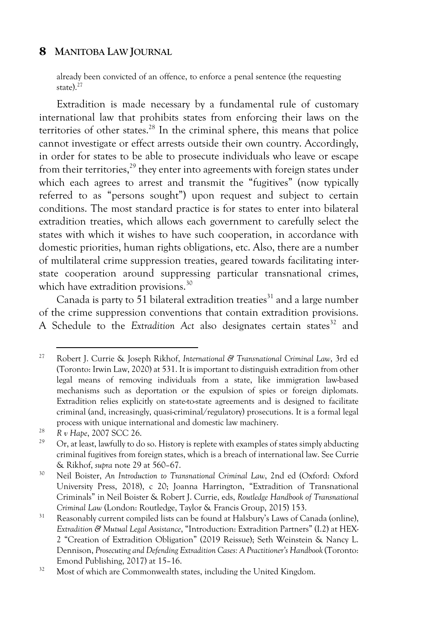already been convicted of an offence, to enforce a penal sentence (the requesting state). $27$ 

Extradition is made necessary by a fundamental rule of customary international law that prohibits states from enforcing their laws on the territories of other states.<sup>28</sup> In the criminal sphere, this means that police cannot investigate or effect arrests outside their own country. Accordingly, in order for states to be able to prosecute individuals who leave or escape from their territories,<sup>29</sup> they enter into agreements with foreign states under which each agrees to arrest and transmit the "fugitives" (now typically referred to as "persons sought") upon request and subject to certain conditions. The most standard practice is for states to enter into bilateral extradition treaties, which allows each government to carefully select the states with which it wishes to have such cooperation, in accordance with domestic priorities, human rights obligations, etc. Also, there are a number of multilateral crime suppression treaties, geared towards facilitating interstate cooperation around suppressing particular transnational crimes, which have extradition provisions.<sup>30</sup>

Canada is party to 51 bilateral extradition treaties<sup>31</sup> and a large number of the crime suppression conventions that contain extradition provisions. A Schedule to the *Extradition Act* also designates certain states<sup>32</sup> and

<sup>27</sup> Robert J. Currie & Joseph Rikhof, *International & Transnational Criminal Law*, 3rd ed (Toronto: Irwin Law, 2020) at 531. It is important to distinguish extradition from other legal means of removing individuals from a state, like immigration law-based mechanisms such as deportation or the expulsion of spies or foreign diplomats. Extradition relies explicitly on state-to-state agreements and is designed to facilitate criminal (and, increasingly, quasi-criminal/regulatory) prosecutions. It is a formal legal process with unique international and domestic law machinery.

<sup>28</sup> *R v Hape*, 2007 SCC 26.

<sup>29</sup> Or, at least, lawfully to do so. History is replete with examples of states simply abducting criminal fugitives from foreign states, which is a breach of international law. See Currie & Rikhof, *supra* note 29 at 560–67.

<sup>30</sup> Neil Boister, *An Introduction to Transnational Criminal Law*, 2nd ed (Oxford: Oxford University Press, 2018), c 20; Joanna Harrington, "Extradition of Transnational Criminals" in Neil Boister & Robert J. Currie, eds, *Routledge Handbook of Transnational Criminal Law* (London: Routledge, Taylor & Francis Group, 2015) 153.

<sup>&</sup>lt;sup>31</sup> Reasonably current compiled lists can be found at Halsbury's Laws of Canada (online), *Extradition & Mutual Legal Assistance*, "Introduction: Extradition Partners" (I.2) at HEX-2 "Creation of Extradition Obligation" (2019 Reissue); Seth Weinstein & Nancy L. Dennison, *Prosecuting and Defending Extradition Cases: A Practitioner's Handbook* (Toronto: Emond Publishing, 2017) at 15–16.

<sup>&</sup>lt;sup>32</sup> Most of which are Commonwealth states, including the United Kingdom.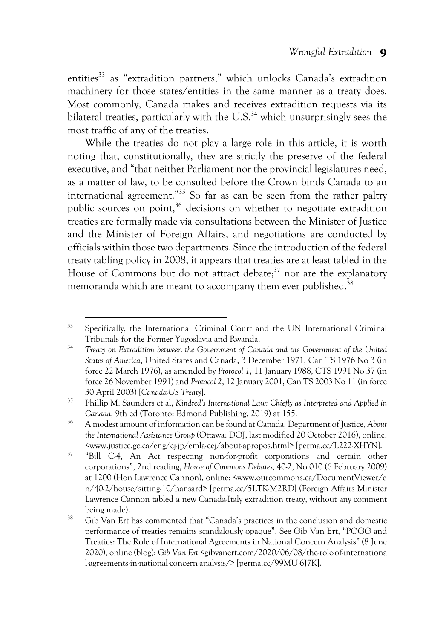entities<sup>33</sup> as "extradition partners," which unlocks Canada's extradition machinery for those states/entities in the same manner as a treaty does. Most commonly, Canada makes and receives extradition requests via its bilateral treaties, particularly with the  $U.S.^{34}$  which unsurprisingly sees the most traffic of any of the treaties.

While the treaties do not play a large role in this article, it is worth noting that, constitutionally, they are strictly the preserve of the federal executive, and "that neither Parliament nor the provincial legislatures need, as a matter of law, to be consulted before the Crown binds Canada to an international agreement."35 So far as can be seen from the rather paltry public sources on point,<sup>36</sup> decisions on whether to negotiate extradition treaties are formally made via consultations between the Minister of Justice and the Minister of Foreign Affairs, and negotiations are conducted by officials within those two departments. Since the introduction of the federal treaty tabling policy in 2008, it appears that treaties are at least tabled in the House of Commons but do not attract debate; $37$  nor are the explanatory memoranda which are meant to accompany them ever published.<sup>38</sup>

<sup>33</sup> Specifically, the International Criminal Court and the UN International Criminal Tribunals for the Former Yugoslavia and Rwanda.

<sup>34</sup> *Treaty on Extradition between the Government of Canada and the Government of the United States of America*, United States and Canada, 3 December 1971, Can TS 1976 No 3 (in force 22 March 1976), as amended by *Protocol 1*, 11 January 1988, CTS 1991 No 37 (in force 26 November 1991) and *Protocol 2*, 12 January 2001, Can TS 2003 No 11 (in force 30 April 2003) [*Canada-US Treaty*].

<sup>35</sup> Phillip M. Saunders et al, *Kindred's International Law: Chiefly as Interpreted and Applied in Canada*, 9th ed (Toronto: Edmond Publishing, 2019) at 155.

<sup>36</sup> A modest amount of information can be found at Canada, Department of Justice, *About the International Assistance Group* (Ottawa: DOJ, last modified 20 October 2016), online: <www.justice.gc.ca/eng/cj-jp/emla-eej/about-apropos.html> [perma.cc/L222-XHYN].

<sup>&</sup>lt;sup>37</sup> "Bill C-4, An Act respecting non-for-profit corporations and certain other corporations", 2nd reading, *House of Commons Debates,* 40-2, No 010 (6 February 2009) at 1200 (Hon Lawrence Cannon), online: <www.ourcommons.ca/DocumentViewer/e n/40-2/house/sitting-10/hansard> [perma.cc/5LTK-M2RD] (Foreign Affairs Minister Lawrence Cannon tabled a new Canada-Italy extradition treaty, without any comment being made).

<sup>&</sup>lt;sup>38</sup> Gib Van Ert has commented that "Canada's practices in the conclusion and domestic performance of treaties remains scandalously opaque". See Gib Van Ert, "POGG and Treaties: The Role of International Agreements in National Concern Analysis" (8 June 2020), online (blog): *Gib Van Ert* <gibvanert.com/2020/06/08/the-role-of-internationa l-agreements-in-national-concern-analysis/> [perma.cc/99MU-6J7K].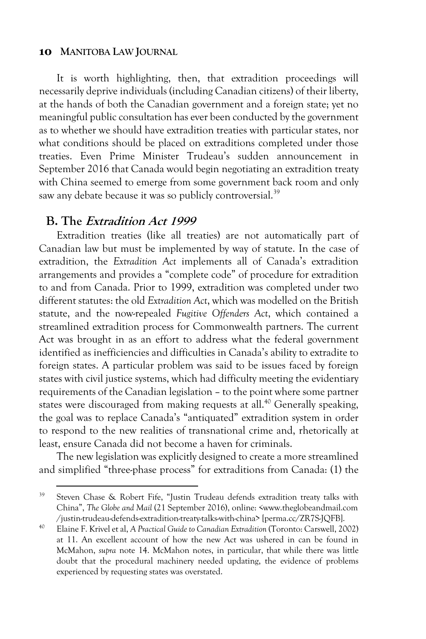It is worth highlighting, then, that extradition proceedings will necessarily deprive individuals (including Canadian citizens) of their liberty, at the hands of both the Canadian government and a foreign state; yet no meaningful public consultation has ever been conducted by the government as to whether we should have extradition treaties with particular states, nor what conditions should be placed on extraditions completed under those treaties. Even Prime Minister Trudeau's sudden announcement in September 2016 that Canada would begin negotiating an extradition treaty with China seemed to emerge from some government back room and only saw any debate because it was so publicly controversial.<sup>39</sup>

## **B. The Extradition Act <sup>1999</sup>**

Extradition treaties (like all treaties) are not automatically part of Canadian law but must be implemented by way of statute. In the case of extradition, the *Extradition Act* implements all of Canada's extradition arrangements and provides a "complete code" of procedure for extradition to and from Canada. Prior to 1999, extradition was completed under two different statutes: the old *Extradition Act*, which was modelled on the British statute, and the now-repealed *Fugitive Offenders Act*, which contained a streamlined extradition process for Commonwealth partners. The current Act was brought in as an effort to address what the federal government identified as inefficiencies and difficulties in Canada's ability to extradite to foreign states. A particular problem was said to be issues faced by foreign states with civil justice systems, which had difficulty meeting the evidentiary requirements of the Canadian legislation – to the point where some partner states were discouraged from making requests at all. <sup>40</sup> Generally speaking, the goal was to replace Canada's "antiquated" extradition system in order to respond to the new realities of transnational crime and, rhetorically at least, ensure Canada did not become a haven for criminals.

The new legislation was explicitly designed to create a more streamlined and simplified "three-phase process" for extraditions from Canada: (1) the

<sup>39</sup> Steven Chase & Robert Fife, "Justin Trudeau defends extradition treaty talks with China", *The Globe and Mail* (21 September 2016), online: <www.theglobeandmail.com /justin-trudeau-defends-extradition-treaty-talks-with-china> [perma.cc/ZR7S-JQFB].

<sup>40</sup> Elaine F. Krivel et al, *A Practical Guide to Canadian Extradition* (Toronto: Carswell, 2002) at 11. An excellent account of how the new Act was ushered in can be found in McMahon, *supra* note 14. McMahon notes, in particular, that while there was little doubt that the procedural machinery needed updating, the evidence of problems experienced by requesting states was overstated.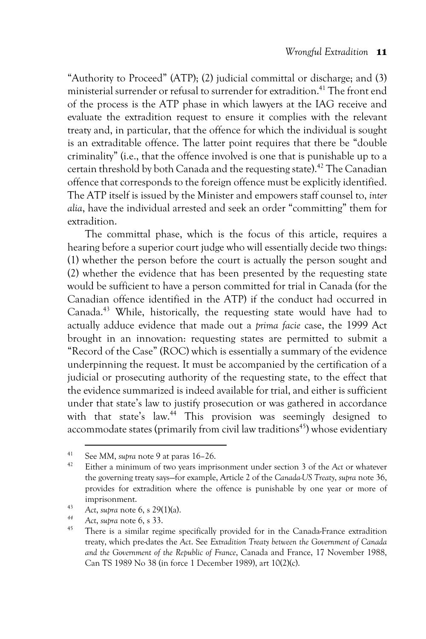"Authority to Proceed" (ATP); (2) judicial committal or discharge; and (3) ministerial surrender or refusal to surrender for extradition.<sup>41</sup> The front end of the process is the ATP phase in which lawyers at the IAG receive and evaluate the extradition request to ensure it complies with the relevant treaty and, in particular, that the offence for which the individual is sought is an extraditable offence. The latter point requires that there be "double criminality" (i.e., that the offence involved is one that is punishable up to a certain threshold by both Canada and the requesting state). <sup>42</sup> The Canadian offence that corresponds to the foreign offence must be explicitly identified. The ATP itself is issued by the Minister and empowers staff counsel to, *inter alia*, have the individual arrested and seek an order "committing" them for extradition.

The committal phase, which is the focus of this article, requires a hearing before a superior court judge who will essentially decide two things: (1) whether the person before the court is actually the person sought and (2) whether the evidence that has been presented by the requesting state would be sufficient to have a person committed for trial in Canada (for the Canadian offence identified in the ATP) if the conduct had occurred in Canada.43 While, historically, the requesting state would have had to actually adduce evidence that made out a *prima facie* case, the 1999 Act brought in an innovation: requesting states are permitted to submit a "Record of the Case" (ROC) which is essentially a summary of the evidence underpinning the request. It must be accompanied by the certification of a judicial or prosecuting authority of the requesting state, to the effect that the evidence summarized is indeed available for trial, and either is sufficient under that state's law to justify prosecution or was gathered in accordance with that state's law.<sup>44</sup> This provision was seemingly designed to accommodate states (primarily from civil law traditions<sup>45</sup>) whose evidentiary

<sup>41</sup> See *MM*, *supra* note 9 at paras 16–26.

<sup>42</sup> Either a minimum of two years imprisonment under section 3 of the *Act* or whatever the governing treaty says—for example, Article 2 of the *Canada-US Treaty*, *supra* note 36, provides for extradition where the offence is punishable by one year or more of imprisonment.

<sup>43</sup> *Act*, *supra* note 6, s 29(1)(a).

*<sup>44</sup> Act*, *supra* note 6, s 33.

<sup>45</sup> There is a similar regime specifically provided for in the Canada-France extradition treaty, which pre-dates the *Act*. See *Extradition Treaty between the Government of Canada and the Government of the Republic of France*, Canada and France, 17 November 1988, Can TS 1989 No 38 (in force 1 December 1989), art 10(2)(c).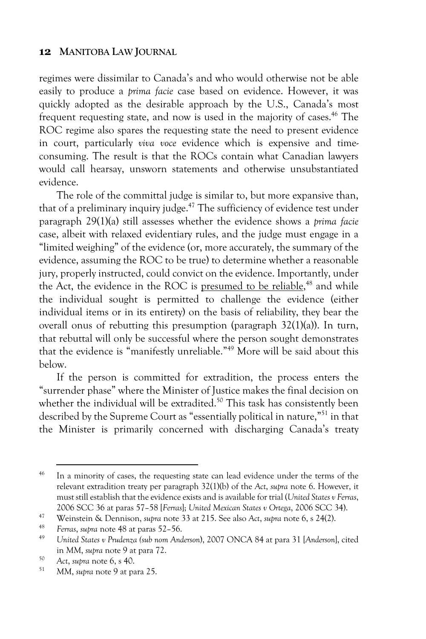regimes were dissimilar to Canada's and who would otherwise not be able easily to produce a *prima facie* case based on evidence. However, it was quickly adopted as the desirable approach by the U.S., Canada's most frequent requesting state, and now is used in the majority of cases. <sup>46</sup> The ROC regime also spares the requesting state the need to present evidence in court, particularly *viva voce* evidence which is expensive and timeconsuming. The result is that the ROCs contain what Canadian lawyers would call hearsay, unsworn statements and otherwise unsubstantiated evidence.

The role of the committal judge is similar to, but more expansive than, that of a preliminary inquiry judge. $47$  The sufficiency of evidence test under paragraph 29(1)(a) still assesses whether the evidence shows a *prima facie* case, albeit with relaxed evidentiary rules, and the judge must engage in a "limited weighing" of the evidence (or, more accurately, the summary of the evidence, assuming the ROC to be true) to determine whether a reasonable jury, properly instructed, could convict on the evidence. Importantly, under the Act, the evidence in the ROC is presumed to be reliable,<sup>48</sup> and while the individual sought is permitted to challenge the evidence (either individual items or in its entirety) on the basis of reliability, they bear the overall onus of rebutting this presumption (paragraph 32(1)(a)). In turn, that rebuttal will only be successful where the person sought demonstrates that the evidence is "manifestly unreliable." <sup>49</sup> More will be said about this below.

If the person is committed for extradition, the process enters the "surrender phase" where the Minister of Justice makes the final decision on whether the individual will be extradited.<sup>50</sup> This task has consistently been described by the Supreme Court as "essentially political in nature,"<sup>51</sup> in that the Minister is primarily concerned with discharging Canada's treaty

<sup>&</sup>lt;sup>46</sup> In a minority of cases, the requesting state can lead evidence under the terms of the relevant extradition treaty per paragraph 32(1)(b) of the *Act*, *supra* note 6. However, it must still establish that the evidence exists and is available for trial (*United States v Ferras*, 2006 SCC 36 at paras 57–58 [*Ferras*]; *United Mexican States v Ortega*, 2006 SCC 34).

<sup>47</sup> Weinstein & Dennison, *supra* note 33 at 215. See also *Act*, *supra* note 6, s 24(2).

<sup>48</sup> *Ferras*, *supra* note 48 at paras 52–56.

<sup>49</sup> *United States v Prudenza (sub nom Anderson*), 2007 ONCA 84 at para 31 [*Anderson*], cited in *MM*, *supra* note 9 at para 72.

<sup>50</sup> *Act*, *supra* note 6, s 40.

<sup>51</sup> *MM*, *supra* note 9 at para 25.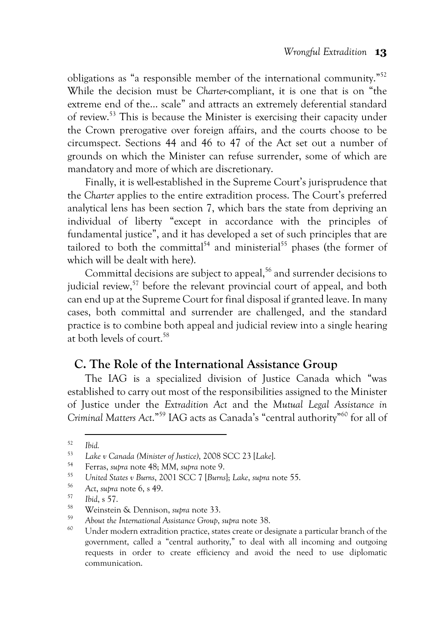obligations as "a responsible member of the international community."52 While the decision must be *Charter*-compliant, it is one that is on "the extreme end of the… scale" and attracts an extremely deferential standard of review.53 This is because the Minister is exercising their capacity under the Crown prerogative over foreign affairs, and the courts choose to be circumspect. Sections 44 and 46 to 47 of the Act set out a number of grounds on which the Minister can refuse surrender, some of which are mandatory and more of which are discretionary.

Finally, it is well-established in the Supreme Court's jurisprudence that the *Charter* applies to the entire extradition process. The Court's preferred analytical lens has been section 7, which bars the state from depriving an individual of liberty "except in accordance with the principles of fundamental justice", and it has developed a set of such principles that are tailored to both the committal<sup>54</sup> and ministerial<sup>55</sup> phases (the former of which will be dealt with here).

Committal decisions are subject to appeal,<sup>56</sup> and surrender decisions to judicial review,<sup>57</sup> before the relevant provincial court of appeal, and both can end up at the Supreme Court for final disposal if granted leave. In many cases, both committal and surrender are challenged, and the standard practice is to combine both appeal and judicial review into a single hearing at both levels of court.<sup>58</sup>

## **C. The Role of the International Assistance Group**

The IAG is a specialized division of Justice Canada which "was established to carry out most of the responsibilities assigned to the Minister of Justice under the *Extradition Act* and the *Mutual Legal Assistance in Criminal Matters Act*."59 IAG acts as Canada's "central authority"60 for all of

<sup>52</sup> *Ibid.*

<sup>53</sup> *Lake v Canada (Minister of Justice)*, 2008 SCC 23 [*Lake*].

<sup>54</sup> Ferras, *supra* note 48; *MM*, *supra* note 9.

<sup>55</sup> *United States v Burns*, 2001 SCC 7 [*Burns*]; *Lake*, *supra* note 55.

<sup>56</sup> *Act*, *supra* note 6, s 49.

<sup>57</sup> *Ibid*, s 57.

<sup>58</sup> Weinstein & Dennison, *supra* note 33.

<sup>&</sup>lt;sup>59</sup> About the International Assistance Group, *supra* note 38.<br><sup>60</sup> Under modern extradition practice, states create or designate a particular branch of the government, called a "central authority," to deal with all incoming and outgoing requests in order to create efficiency and avoid the need to use diplomatic communication.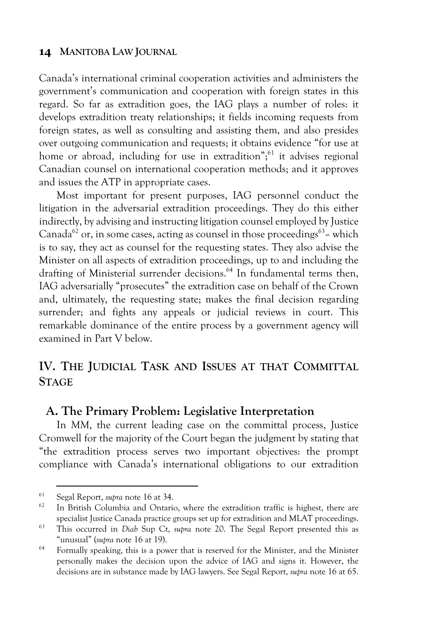Canada's international criminal cooperation activities and administers the government's communication and cooperation with foreign states in this regard. So far as extradition goes, the IAG plays a number of roles: it develops extradition treaty relationships; it fields incoming requests from foreign states, as well as consulting and assisting them, and also presides over outgoing communication and requests; it obtains evidence "for use at home or abroad, including for use in extradition"; $61$  it advises regional Canadian counsel on international cooperation methods; and it approves and issues the ATP in appropriate cases.

Most important for present purposes, IAG personnel conduct the litigation in the adversarial extradition proceedings. They do this either indirectly, by advising and instructing litigation counsel employed by Justice Canada<sup>62</sup> or, in some cases, acting as counsel in those proceedings<sup>63</sup>-which is to say, they act as counsel for the requesting states. They also advise the Minister on all aspects of extradition proceedings, up to and including the drafting of Ministerial surrender decisions.<sup>64</sup> In fundamental terms then, IAG adversarially "prosecutes" the extradition case on behalf of the Crown and, ultimately, the requesting state; makes the final decision regarding surrender; and fights any appeals or judicial reviews in court. This remarkable dominance of the entire process by a government agency will examined in Part V below.

## **IV. THE JUDICIAL TASK AND ISSUES AT THAT COMMITTAL STAGE**

## **A. The Primary Problem: Legislative Interpretation**

In MM, the current leading case on the committal process. Justice Cromwell for the majority of the Court began the judgment by stating that "the extradition process serves two important objectives: the prompt compliance with Canada's international obligations to our extradition

<sup>61</sup> Segal Report, *supra* note 16 at 34.

In British Columbia and Ontario, where the extradition traffic is highest, there are specialist Justice Canada practice groups set up for extradition and MLAT proceedings.

<sup>63</sup> This occurred in *Diab* Sup Ct, *supra* note 20. The Segal Report presented this as "unusual" (*supra* note 16 at 19).

<sup>&</sup>lt;sup>64</sup> Formally speaking, this is a power that is reserved for the Minister, and the Minister personally makes the decision upon the advice of IAG and signs it. However, the decisions are in substance made by IAG lawyers. See Segal Report, *supra* note 16 at 65.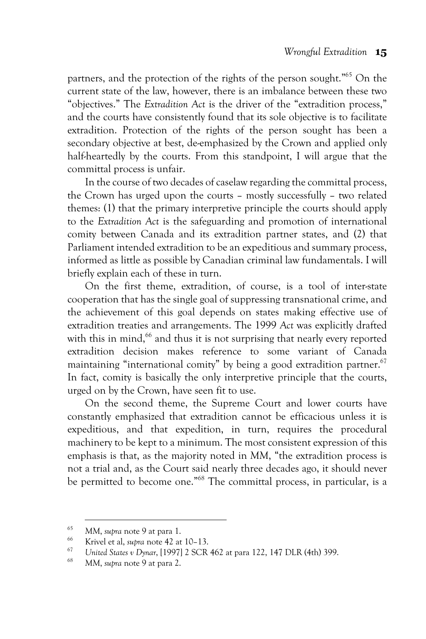partners, and the protection of the rights of the person sought."65 On the current state of the law, however, there is an imbalance between these two "objectives." The *Extradition Act* is the driver of the "extradition process," and the courts have consistently found that its sole objective is to facilitate extradition. Protection of the rights of the person sought has been a secondary objective at best, de-emphasized by the Crown and applied only half-heartedly by the courts. From this standpoint, I will argue that the committal process is unfair.

In the course of two decades of caselaw regarding the committal process, the Crown has urged upon the courts – mostly successfully – two related themes: (1) that the primary interpretive principle the courts should apply to the *Extradition Act* is the safeguarding and promotion of international comity between Canada and its extradition partner states, and (2) that Parliament intended extradition to be an expeditious and summary process, informed as little as possible by Canadian criminal law fundamentals. I will briefly explain each of these in turn.

On the first theme, extradition, of course, is a tool of inter-state cooperation that has the single goal of suppressing transnational crime, and the achievement of this goal depends on states making effective use of extradition treaties and arrangements. The 1999 *Act* was explicitly drafted with this in mind,<sup>66</sup> and thus it is not surprising that nearly every reported extradition decision makes reference to some variant of Canada maintaining "international comity" by being a good extradition partner.<sup>67</sup> In fact, comity is basically the only interpretive principle that the courts, urged on by the Crown, have seen fit to use.

On the second theme, the Supreme Court and lower courts have constantly emphasized that extradition cannot be efficacious unless it is expeditious, and that expedition, in turn, requires the procedural machinery to be kept to a minimum. The most consistent expression of this emphasis is that, as the majority noted in *MM*, "the extradition process is not a trial and, as the Court said nearly three decades ago, it should never be permitted to become one."68 The committal process, in particular, is a

<sup>65</sup> *MM*, *supra* note 9 at para 1.

<sup>66</sup> Krivel et al, *supra* note 42 at 10–13.

<sup>67</sup> *United States v Dynar*, [1997] 2 SCR 462 at para 122, 147 DLR (4th) 399.

<sup>68</sup> *MM*, *supra* note 9 at para 2.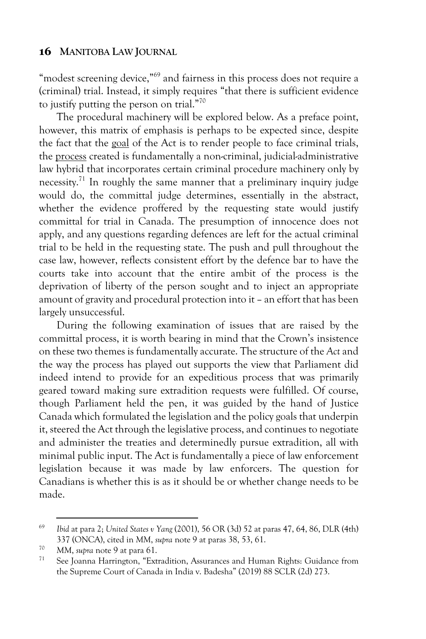"modest screening device,"<sup>69</sup> and fairness in this process does not require a (criminal) trial. Instead, it simply requires "that there is sufficient evidence to justify putting the person on trial."70

The procedural machinery will be explored below. As a preface point, however, this matrix of emphasis is perhaps to be expected since, despite the fact that the goal of the Act is to render people to face criminal trials, the process created is fundamentally a non-criminal, judicial-administrative law hybrid that incorporates certain criminal procedure machinery only by necessity.71 In roughly the same manner that a preliminary inquiry judge would do, the committal judge determines, essentially in the abstract, whether the evidence proffered by the requesting state would justify committal for trial in Canada. The presumption of innocence does not apply, and any questions regarding defences are left for the actual criminal trial to be held in the requesting state. The push and pull throughout the case law, however, reflects consistent effort by the defence bar to have the courts take into account that the entire ambit of the process is the deprivation of liberty of the person sought and to inject an appropriate amount of gravity and procedural protection into it – an effort that has been largely unsuccessful.

During the following examination of issues that are raised by the committal process, it is worth bearing in mind that the Crown's insistence on these two themes is fundamentally accurate. The structure of the *Act* and the way the process has played out supports the view that Parliament did indeed intend to provide for an expeditious process that was primarily geared toward making sure extradition requests were fulfilled. Of course, though Parliament held the pen, it was guided by the hand of Justice Canada which formulated the legislation and the policy goals that underpin it, steered the Act through the legislative process, and continues to negotiate and administer the treaties and determinedly pursue extradition, all with minimal public input. The Act is fundamentally a piece of law enforcement legislation because it was made by law enforcers. The question for Canadians is whether this is as it should be or whether change needs to be made.

<sup>69</sup> *Ibid* at para 2; *United States v Yang* (2001), 56 OR (3d) 52 at paras 47, 64, 86, DLR (4th) 337 (ONCA), cited in *MM*, *supra* note 9 at paras 38, 53, 61.

<sup>&</sup>lt;sup>70</sup> MM, *supra* note 9 at para 61.<br><sup>71</sup> See Joanna Harrington, "Extradition, Assurances and Human Rights: Guidance from the Supreme Court of Canada in India v. Badesha" (2019) 88 SCLR (2d) 273.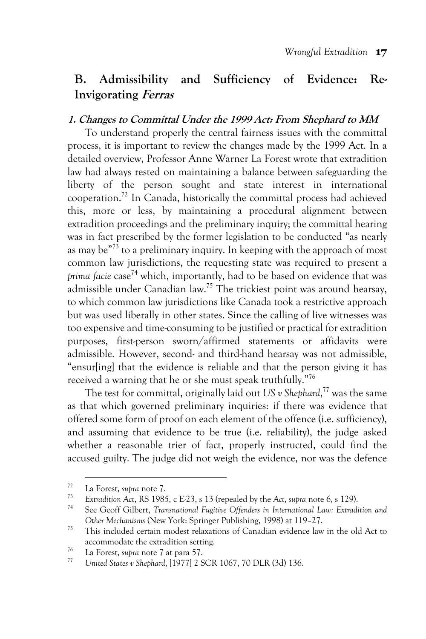## **B. Admissibility and Sufficiency of Evidence: Re-Invigorating Ferras**

#### **1. Changes to Committal Under the 1999 Act: From Shephard to MM**

To understand properly the central fairness issues with the committal process, it is important to review the changes made by the 1999 Act. In a detailed overview, Professor Anne Warner La Forest wrote that extradition law had always rested on maintaining a balance between safeguarding the liberty of the person sought and state interest in international cooperation.72 In Canada, historically the committal process had achieved this, more or less, by maintaining a procedural alignment between extradition proceedings and the preliminary inquiry; the committal hearing was in fact prescribed by the former legislation to be conducted "as nearly as may be"73 to a preliminary inquiry. In keeping with the approach of most common law jurisdictions, the requesting state was required to present a *prima facie* case<sup>74</sup> which, importantly, had to be based on evidence that was admissible under Canadian law.75 The trickiest point was around hearsay, to which common law jurisdictions like Canada took a restrictive approach but was used liberally in other states. Since the calling of live witnesses was too expensive and time-consuming to be justified or practical for extradition purposes, first-person sworn/affirmed statements or affidavits were admissible. However, second- and third-hand hearsay was not admissible, "ensur[ing] that the evidence is reliable and that the person giving it has received a warning that he or she must speak truthfully."76

The test for committal, originally laid out *US v Shephard*, <sup>77</sup> was the same as that which governed preliminary inquiries: if there was evidence that offered some form of proof on each element of the offence (i.e. sufficiency), and assuming that evidence to be true (i.e. reliability), the judge asked whether a reasonable trier of fact, properly instructed, could find the accused guilty. The judge did not weigh the evidence, nor was the defence

<sup>72</sup> La Forest, *supra* note 7.

<sup>73</sup> *Extradition Act*, RS 1985, c E-23, s 13 (repealed by the *Act*, *supra* note 6, s 129). 74 See Geoff Gilbert, *Transnational Fugitive Offenders in International Law: Extradition and* 

*Other Mechanisms* (New York: Springer Publishing, 1998) at 119–27.

<sup>75</sup> This included certain modest relaxations of Canadian evidence law in the old Act to accommodate the extradition setting.

<sup>76</sup> La Forest, *supra* note 7 at para 57.

<sup>77</sup> *United States v Shephard*, [1977] 2 SCR 1067, 70 DLR (3d) 136.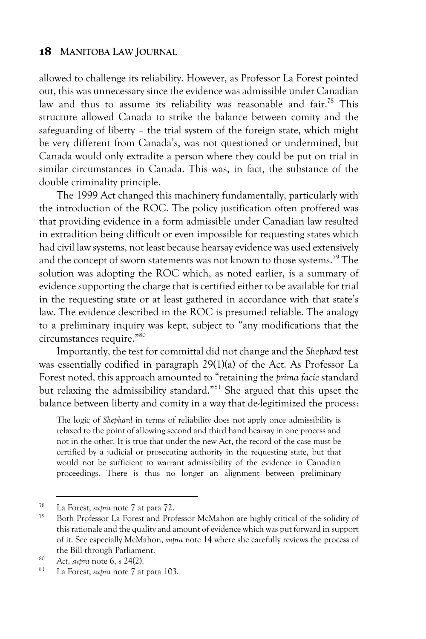allowed to challenge its reliability. However, as Professor La Forest pointed out, this was unnecessary since the evidence was admissible under Canadian law and thus to assume its reliability was reasonable and fair.<sup>78</sup> This structure allowed Canada to strike the balance between comity and the safeguarding of liberty – the trial system of the foreign state, which might be very different from Canada's, was not questioned or undermined, but Canada would only extradite a person where they could be put on trial in similar circumstances in Canada. This was, in fact, the substance of the double criminality principle.

The 1999 Act changed this machinery fundamentally, particularly with the introduction of the ROC. The policy justification often proffered was that providing evidence in a form admissible under Canadian law resulted in extradition being difficult or even impossible for requesting states which had civil law systems, not least because hearsay evidence was used extensively and the concept of sworn statements was not known to those systems.<sup>79</sup> The solution was adopting the ROC which, as noted earlier, is a summary of evidence supporting the charge that is certified either to be available for trial in the requesting state or at least gathered in accordance with that state's law. The evidence described in the ROC is presumed reliable. The analogy to a preliminary inquiry was kept, subject to "any modifications that the circumstances require." 80

Importantly, the test for committal did not change and the *Shephard* test was essentially codified in paragraph 29(1)(a) of the Act. As Professor La Forest noted, this approach amounted to "retaining the *prima facie* standard but relaxing the admissibility standard."81 She argued that this upset the balance between liberty and comity in a way that de-legitimized the process:

The logic of *Shephard* in terms of reliability does not apply once admissibility is relaxed to the point of allowing second and third hand hearsay in one process and not in the other. It is true that under the new Act, the record of the case must be certified by a judicial or prosecuting authority in the requesting state, but that would not be sufficient to warrant admissibility of the evidence in Canadian proceedings. There is thus no longer an alignment between preliminary

<sup>78</sup> La Forest, *supra* note 7 at para 72.

Both Professor La Forest and Professor McMahon are highly critical of the solidity of this rationale and the quality and amount of evidence which was put forward in support of it. See especially McMahon, *supra* note 14 where she carefully reviews the process of the Bill through Parliament.

<sup>80</sup> *Act*, *supra* note 6, s 24(2).

<sup>81</sup> La Forest, *supra* note 7 at para 103.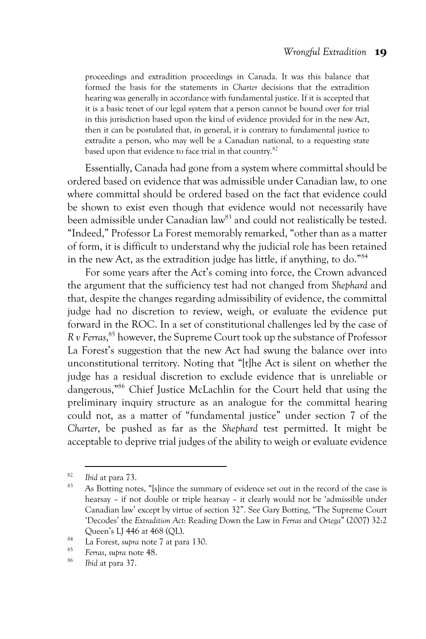proceedings and extradition proceedings in Canada. It was this balance that formed the basis for the statements in *Charter* decisions that the extradition hearing was generally in accordance with fundamental justice. If it is accepted that it is a basic tenet of our legal system that a person cannot be bound over for trial in this jurisdiction based upon the kind of evidence provided for in the new Act, then it can be postulated that, in general, it is contrary to fundamental justice to extradite a person, who may well be a Canadian national, to a requesting state based upon that evidence to face trial in that country.<sup>82</sup>

Essentially, Canada had gone from a system where committal should be ordered based on evidence that was admissible under Canadian law, to one where committal should be ordered based on the fact that evidence could be shown to exist even though that evidence would not necessarily have been admissible under Canadian law<sup>83</sup> and could not realistically be tested. "Indeed," Professor La Forest memorably remarked, "other than as a matter of form, it is difficult to understand why the judicial role has been retained in the new Act, as the extradition judge has little, if anything, to do."84

For some years after the Act's coming into force, the Crown advanced the argument that the sufficiency test had not changed from *Shephard* and that, despite the changes regarding admissibility of evidence, the committal judge had no discretion to review, weigh, or evaluate the evidence put forward in the ROC. In a set of constitutional challenges led by the case of *R v Ferras*, <sup>85</sup> however, the Supreme Court took up the substance of Professor La Forest's suggestion that the new Act had swung the balance over into unconstitutional territory. Noting that "[t]he Act is silent on whether the judge has a residual discretion to exclude evidence that is unreliable or dangerous,"86 Chief Justice McLachlin for the Court held that using the preliminary inquiry structure as an analogue for the committal hearing could not, as a matter of "fundamental justice" under section 7 of the *Charter*, be pushed as far as the *Shephard* test permitted. It might be acceptable to deprive trial judges of the ability to weigh or evaluate evidence

<sup>82</sup> *Ibid* at para 73.

As Botting notes, "[s]ince the summary of evidence set out in the record of the case is hearsay – if not double or triple hearsay – it clearly would not be 'admissible under Canadian law' except by virtue of section 32". See Gary Botting, "The Supreme Court 'Decodes' the *Extradition Act*: Reading Down the Law in *Ferras* and *Ortega*" (2007) 32:2 Queen's LJ 446 at 468 (QL).

<sup>84</sup> La Forest, *supra* note 7 at para 130. 85 *Ferras*, *supra* note 48.

<sup>86</sup> *Ibid* at para 37.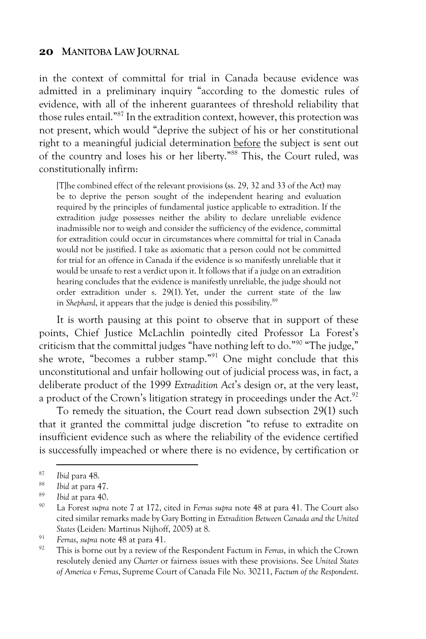in the context of committal for trial in Canada because evidence was admitted in a preliminary inquiry "according to the domestic rules of evidence, with all of the inherent guarantees of threshold reliability that those rules entail."87 In the extradition context, however, this protection was not present, which would "deprive the subject of his or her constitutional right to a meaningful judicial determination before the subject is sent out of the country and loses his or her liberty." <sup>88</sup> This, the Court ruled, was constitutionally infirm:

[T]he combined effect of the relevant provisions (ss. 29, 32 and 33 of the Act) may be to deprive the person sought of the independent hearing and evaluation required by the principles of fundamental justice applicable to extradition. If the extradition judge possesses neither the ability to declare unreliable evidence inadmissible nor to weigh and consider the sufficiency of the evidence, committal for extradition could occur in circumstances where committal for trial in Canada would not be justified. I take as axiomatic that a person could not be committed for trial for an offence in Canada if the evidence is so manifestly unreliable that it would be unsafe to rest a verdict upon it. It follows that if a judge on an extradition hearing concludes that the evidence is manifestly unreliable, the judge should not order extradition under s. 29(1). Yet, under the current state of the law in *Shephard*, it appears that the judge is denied this possibility.<sup>89</sup>

It is worth pausing at this point to observe that in support of these points, Chief Justice McLachlin pointedly cited Professor La Forest's criticism that the committal judges "have nothing left to do."90 "The judge," she wrote, "becomes a rubber stamp."91 One might conclude that this unconstitutional and unfair hollowing out of judicial process was, in fact, a deliberate product of the 1999 *Extradition Act*'s design or, at the very least, a product of the Crown's litigation strategy in proceedings under the Act.<sup>92</sup>

To remedy the situation, the Court read down subsection 29(1) such that it granted the committal judge discretion "to refuse to extradite on insufficient evidence such as where the reliability of the evidence certified is successfully impeached or where there is no evidence, by certification or

<sup>87</sup> *Ibid* para 48.

<sup>88</sup> *Ibid* at para 47.

<sup>89</sup> *Ibid* at para 40.

<sup>90</sup> La Forest *supra* note 7 at 172, cited in *Ferras supra* note 48 at para 41. The Court also cited similar remarks made by Gary Botting in *Extradition Between Canada and the United States* (Leiden: Martinus Nijhoff, 2005) at 8.

<sup>91</sup> *Ferras*, *supra* note 48 at para 41.

<sup>92</sup> This is borne out by a review of the Respondent Factum in *Ferras*, in which the Crown resolutely denied any *Charter* or fairness issues with these provisions. See *United States of America v Ferras*, Supreme Court of Canada File No. 30211, *Factum of the Respondent*.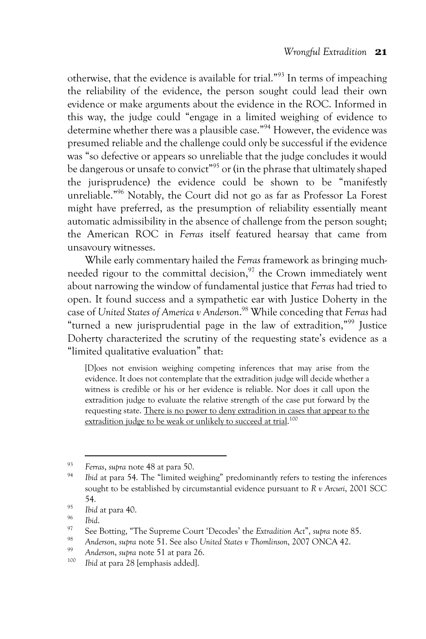otherwise, that the evidence is available for trial."93 In terms of impeaching the reliability of the evidence, the person sought could lead their own evidence or make arguments about the evidence in the ROC. Informed in this way, the judge could "engage in a limited weighing of evidence to determine whether there was a plausible case."94 However, the evidence was presumed reliable and the challenge could only be successful if the evidence was "so defective or appears so unreliable that the judge concludes it would be dangerous or unsafe to convict" <sup>95</sup> or (in the phrase that ultimately shaped the jurisprudence) the evidence could be shown to be "manifestly unreliable."96 Notably, the Court did not go as far as Professor La Forest might have preferred, as the presumption of reliability essentially meant automatic admissibility in the absence of challenge from the person sought; the American ROC in *Ferras* itself featured hearsay that came from unsavoury witnesses.

While early commentary hailed the *Ferras* framework as bringing muchneeded rigour to the committal decision, $97$  the Crown immediately went about narrowing the window of fundamental justice that *Ferras* had tried to open. It found success and a sympathetic ear with Justice Doherty in the case of *United States of America v Anderson*. <sup>98</sup> While conceding that *Ferras* had "turned a new jurisprudential page in the law of extradition,"99 Justice Doherty characterized the scrutiny of the requesting state's evidence as a "limited qualitative evaluation" that:

[D]oes not envision weighing competing inferences that may arise from the evidence. It does not contemplate that the extradition judge will decide whether a witness is credible or his or her evidence is reliable. Nor does it call upon the extradition judge to evaluate the relative strength of the case put forward by the requesting state. There is no power to deny extradition in cases that appear to the extradition judge to be weak or unlikely to succeed at trial.<sup>100</sup>

<sup>93</sup> *Ferras*, *supra* note 48 at para 50.

*Ibid* at para 54. The "limited weighing" predominantly refers to testing the inferences sought to be established by circumstantial evidence pursuant to *R v Arcuri*, 2001 SCC 54.

 $^{95}$  *Ibid* at para 40.

<sup>96</sup> *Ibid*.

<sup>97</sup> See Botting, "The Supreme Court 'Decodes' the *Extradition Act*", *supra* note 85.

<sup>98</sup> *Anderson*, *supra* note 51. See also *United States v Thomlinson*, 2007 ONCA 42.

<sup>99</sup> *Anderson*, *supra* note 51 at para 26.

Ibid at para 28 [emphasis added].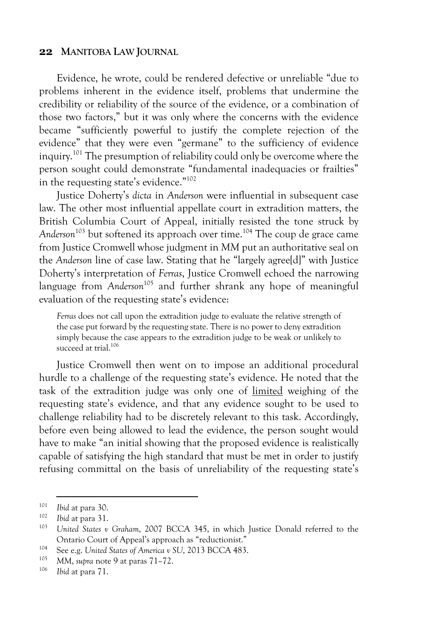Evidence, he wrote, could be rendered defective or unreliable "due to problems inherent in the evidence itself, problems that undermine the credibility or reliability of the source of the evidence, or a combination of those two factors," but it was only where the concerns with the evidence became "sufficiently powerful to justify the complete rejection of the evidence" that they were even "germane" to the sufficiency of evidence inquiry.<sup>101</sup> The presumption of reliability could only be overcome where the person sought could demonstrate "fundamental inadequacies or frailties" in the requesting state's evidence." 102

Justice Doherty's *dicta* in *Anderson* were influential in subsequent case law. The other most influential appellate court in extradition matters, the British Columbia Court of Appeal, initially resisted the tone struck by *Anderson*<sup>103</sup> but softened its approach over time. <sup>104</sup> The coup de grace came from Justice Cromwell whose judgment in *MM* put an authoritative seal on the *Anderson* line of case law. Stating that he "largely agree[d]" with Justice Doherty's interpretation of *Ferras*, Justice Cromwell echoed the narrowing language from *Anderson*<sup>105</sup> and further shrank any hope of meaningful evaluation of the requesting state's evidence:

*Ferras* does not call upon the extradition judge to evaluate the relative strength of the case put forward by the requesting state. There is no power to deny extradition simply because the case appears to the extradition judge to be weak or unlikely to succeed at trial.<sup>106</sup>

Justice Cromwell then went on to impose an additional procedural hurdle to a challenge of the requesting state's evidence. He noted that the task of the extradition judge was only one of limited weighing of the requesting state's evidence, and that any evidence sought to be used to challenge reliability had to be discretely relevant to this task. Accordingly, before even being allowed to lead the evidence, the person sought would have to make "an initial showing that the proposed evidence is realistically capable of satisfying the high standard that must be met in order to justify refusing committal on the basis of unreliability of the requesting state's

<sup>101</sup> *Ibid* at para 30.

<sup>102</sup> *Ibid* at para 31.

United States v Graham, 2007 BCCA 345, in which Justice Donald referred to the Ontario Court of Appeal's approach as "reductionist."

<sup>&</sup>lt;sup>104</sup> See e.g. *United States of America v SU*, 2013 BCCA 483.

<sup>105</sup> *MM*, *supra* note 9 at paras 71–72.

*Ibid* at para 71.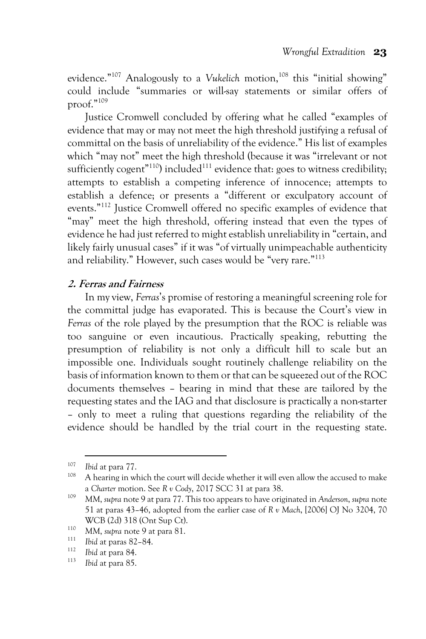evidence."<sup>107</sup> Analogously to a *Vukelich* motion,<sup>108</sup> this "initial showing" could include "summaries or will-say statements or similar offers of proof."109

Justice Cromwell concluded by offering what he called "examples of evidence that may or may not meet the high threshold justifying a refusal of committal on the basis of unreliability of the evidence." His list of examples which "may not" meet the high threshold (because it was "irrelevant or not sufficiently cogent<sup>"110</sup>) included<sup>111</sup> evidence that: goes to witness credibility; attempts to establish a competing inference of innocence; attempts to establish a defence; or presents a "different or exculpatory account of events."112 Justice Cromwell offered no specific examples of evidence that "may" meet the high threshold, offering instead that even the types of evidence he had just referred to might establish unreliability in "certain, and likely fairly unusual cases" if it was "of virtually unimpeachable authenticity and reliability." However, such cases would be "very rare."<sup>113</sup>

#### **2. Ferras and Fairness**

In my view, *Ferras*'s promise of restoring a meaningful screening role for the committal judge has evaporated. This is because the Court's view in *Ferras* of the role played by the presumption that the ROC is reliable was too sanguine or even incautious. Practically speaking, rebutting the presumption of reliability is not only a difficult hill to scale but an impossible one. Individuals sought routinely challenge reliability on the basis of information known to them or that can be squeezed out of the ROC documents themselves – bearing in mind that these are tailored by the requesting states and the IAG and that disclosure is practically a non-starter – only to meet a ruling that questions regarding the reliability of the evidence should be handled by the trial court in the requesting state.

 $\frac{107}{108}$  *Ibid* at para 77.

A hearing in which the court will decide whether it will even allow the accused to make a *Charter* motion. See *R v Cody*, 2017 SCC 31 at para 38.

<sup>109</sup> *MM*, *supra* note 9 at para 77. This too appears to have originated in *Anderson*, *supra* note 51 at paras 43–46, adopted from the earlier case of *R v Mach*, [2006] OJ No 3204, 70 WCB (2d) 318 (Ont Sup Ct).

<sup>&</sup>lt;sup>110</sup> MM, *supra* note 9 at para 81.

<sup>&</sup>lt;sup>111</sup> *Ibid* at paras 82–84.

 $\frac{112}{113}$  *Ibid* at para 84.

*Ibid* at para 85.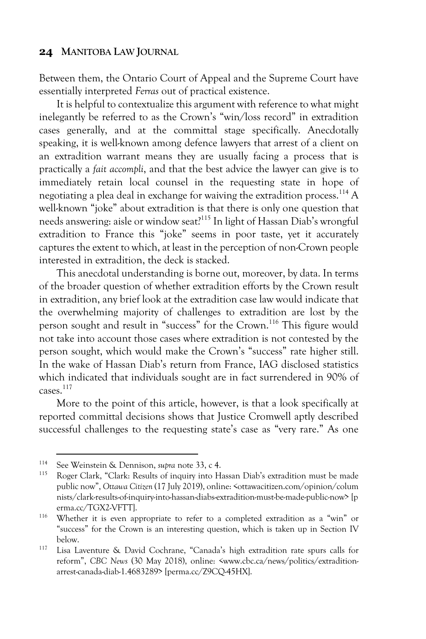Between them, the Ontario Court of Appeal and the Supreme Court have essentially interpreted *Ferras* out of practical existence.

It is helpful to contextualize this argument with reference to what might inelegantly be referred to as the Crown's "win/loss record" in extradition cases generally, and at the committal stage specifically. Anecdotally speaking, it is well-known among defence lawyers that arrest of a client on an extradition warrant means they are usually facing a process that is practically a *fait accompli*, and that the best advice the lawyer can give is to immediately retain local counsel in the requesting state in hope of negotiating a plea deal in exchange for waiving the extradition process.114 A well-known "joke" about extradition is that there is only one question that needs answering: aisle or window seat?115 In light of Hassan Diab's wrongful extradition to France this "joke" seems in poor taste, yet it accurately captures the extent to which, at least in the perception of non-Crown people interested in extradition, the deck is stacked.

This anecdotal understanding is borne out, moreover, by data. In terms of the broader question of whether extradition efforts by the Crown result in extradition, any brief look at the extradition case law would indicate that the overwhelming majority of challenges to extradition are lost by the person sought and result in "success" for the Crown.<sup>116</sup> This figure would not take into account those cases where extradition is not contested by the person sought, which would make the Crown's "success" rate higher still. In the wake of Hassan Diab's return from France, IAG disclosed statistics which indicated that individuals sought are in fact surrendered in 90% of  $c$ ases.<sup>117</sup>

More to the point of this article, however, is that a look specifically at reported committal decisions shows that Justice Cromwell aptly described successful challenges to the requesting state's case as "very rare." As one

<sup>114</sup> See Weinstein & Dennison, *supra* note 33, c 4.

Roger Clark, "Clark: Results of inquiry into Hassan Diab's extradition must be made public now", *Ottawa Citizen* (17 July 2019), online: <ottawacitizen.com/opinion/colum nists/clark-results-of-inquiry-into-hassan-diabs-extradition-must-be-made-public-now> [p erma.cc/TGX2-VFTT].

<sup>116</sup> Whether it is even appropriate to refer to a completed extradition as a "win" or "success" for the Crown is an interesting question, which is taken up in Section IV below.

<sup>117</sup> Lisa Laventure & David Cochrane, "Canada's high extradition rate spurs calls for reform", *CBC News* (30 May 2018), online: <www.cbc.ca/news/politics/extraditionarrest-canada-diab-1.4683289> [perma.cc/Z9CQ-45HX].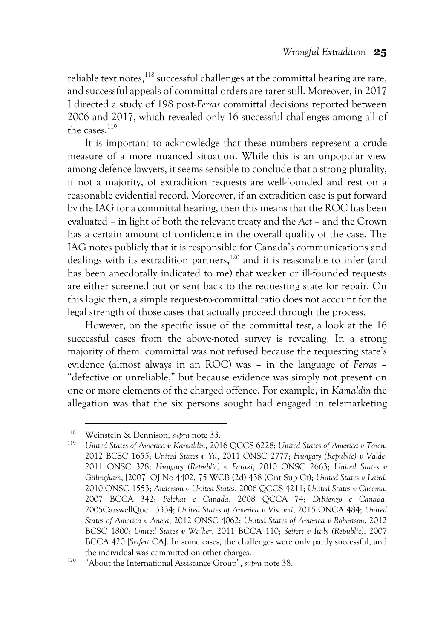reliable text notes,  $^{\rm 118}$  successful challenges at the committal hearing are rare, and successful appeals of committal orders are rarer still. Moreover, in 2017 I directed a study of 198 post-*Ferras* committal decisions reported between 2006 and 2017, which revealed only 16 successful challenges among all of the cases.<sup>119</sup>

It is important to acknowledge that these numbers represent a crude measure of a more nuanced situation. While this is an unpopular view among defence lawyers, it seems sensible to conclude that a strong plurality, if not a majority, of extradition requests are well-founded and rest on a reasonable evidential record. Moreover, if an extradition case is put forward by the IAG for a committal hearing, then this means that the ROC has been evaluated – in light of both the relevant treaty and the *Act –* and the Crown has a certain amount of confidence in the overall quality of the case. The IAG notes publicly that it is responsible for Canada's communications and dealings with its extradition partners,<sup>120</sup> and it is reasonable to infer (and has been anecdotally indicated to me) that weaker or ill-founded requests are either screened out or sent back to the requesting state for repair. On this logic then, a simple request-to-committal ratio does not account for the legal strength of those cases that actually proceed through the process.

However, on the specific issue of the committal test, a look at the 16 successful cases from the above-noted survey is revealing. In a strong majority of them, committal was not refused because the requesting state's evidence (almost always in an ROC) was – in the language of *Ferras* – "defective or unreliable," but because evidence was simply not present on one or more elements of the charged offence. For example, in *Kamaldin* the allegation was that the six persons sought had engaged in telemarketing

<sup>118</sup> Weinstein & Dennison, *supra* note 33.

<sup>119</sup> *United States of America v Kamaldin*, 2016 QCCS 6228; *United States of America v Toren*, 2012 BCSC 1655; *United States v Yu*, 2011 ONSC 2777; *Hungary (Republic) v Valde*, 2011 ONSC 328; *Hungary (Republic) v Pataki*, 2010 ONSC 2663; *United States v Gillingham*, [2007] OJ No 4402, 75 WCB (2d) 438 (Ont Sup Ct); *United States v Laird*, 2010 ONSC 1553; *Anderson v United States*, 2006 QCCS 4211; *United States v Cheema*, 2007 BCCA 342; *Pelchat c Canada*, 2008 QCCA 74; *DiRienzo c Canada*, 2005CarswellQue 13334; *United States of America v Viscomi*, 2015 ONCA 484; *United States of America v Aneja*, 2012 ONSC 4062; *United States of America v Robertson*, 2012 BCSC 1800; *United States v Walker*, 2011 BCCA 110; *Seifert v Italy (Republic)*, 2007 BCCA 420 [*Seifert* CA]. In some cases, the challenges were only partly successful, and the individual was committed on other charges.

<sup>120</sup> "About the International Assistance Group", *supra* note 38.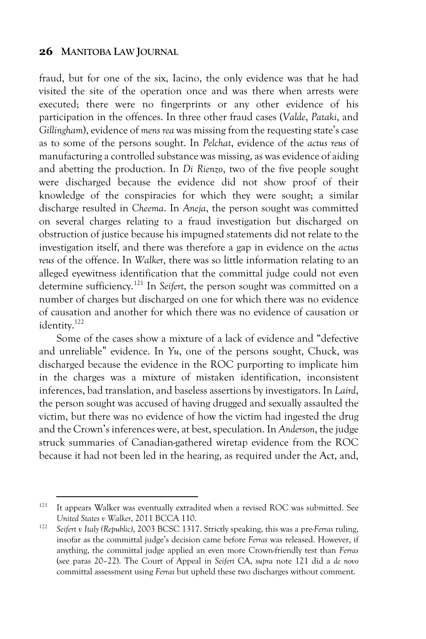fraud, but for one of the six, Iacino, the only evidence was that he had visited the site of the operation once and was there when arrests were executed; there were no fingerprints or any other evidence of his participation in the offences. In three other fraud cases (*Valde*, *Pataki*, and *Gillingham*), evidence of *mens rea* was missing from the requesting state's case as to some of the persons sought. In *Pelchat*, evidence of the *actus reus* of manufacturing a controlled substance was missing, as was evidence of aiding and abetting the production. In *Di Rienzo*, two of the five people sought were discharged because the evidence did not show proof of their knowledge of the conspiracies for which they were sought; a similar discharge resulted in *Cheema*. In *Aneja*, the person sought was committed on several charges relating to a fraud investigation but discharged on obstruction of justice because his impugned statements did not relate to the investigation itself, and there was therefore a gap in evidence on the *actus reus* of the offence. In *Walker*, there was so little information relating to an alleged eyewitness identification that the committal judge could not even determine sufficiency.121 In *Seifert*, the person sought was committed on a number of charges but discharged on one for which there was no evidence of causation and another for which there was no evidence of causation or identity.<sup>122</sup>

Some of the cases show a mixture of a lack of evidence and "defective and unreliable" evidence. In *Yu*, one of the persons sought, Chuck, was discharged because the evidence in the ROC purporting to implicate him in the charges was a mixture of mistaken identification, inconsistent inferences, bad translation, and baseless assertions by investigators. In *Laird*, the person sought was accused of having drugged and sexually assaulted the victim, but there was no evidence of how the victim had ingested the drug and the Crown's inferences were, at best, speculation. In *Anderson*, the judge struck summaries of Canadian-gathered wiretap evidence from the ROC because it had not been led in the hearing, as required under the Act, and,

<sup>&</sup>lt;sup>121</sup> It appears Walker was eventually extradited when a revised ROC was submitted. See *United States v Walker*, 2011 BCCA 110.

<sup>122</sup> *Seifert v Italy (Republic)*, 2003 BCSC 1317. Strictly speaking, this was a pre-*Ferras* ruling, insofar as the committal judge's decision came before *Ferras* was released. However, if anything, the committal judge applied an even more Crown-friendly test than *Ferras* (see paras 20–22). The Court of Appeal in *Seifert* CA, *supra* note 121 did a *de novo* committal assessment using *Ferras* but upheld these two discharges without comment.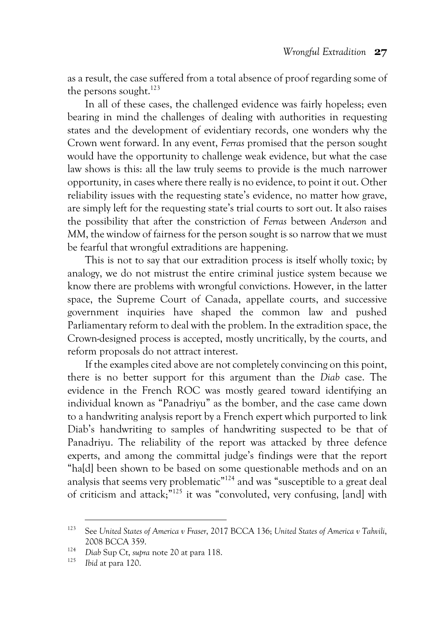as a result, the case suffered from a total absence of proof regarding some of the persons sought.<sup>123</sup>

In all of these cases, the challenged evidence was fairly hopeless; even bearing in mind the challenges of dealing with authorities in requesting states and the development of evidentiary records, one wonders why the Crown went forward. In any event, *Ferras* promised that the person sought would have the opportunity to challenge weak evidence, but what the case law shows is this: all the law truly seems to provide is the much narrower opportunity, in cases where there really is no evidence, to point it out. Other reliability issues with the requesting state's evidence, no matter how grave, are simply left for the requesting state's trial courts to sort out. It also raises the possibility that after the constriction of *Ferras* between *Anderson* and *MM*, the window of fairness for the person sought is so narrow that we must be fearful that wrongful extraditions are happening.

This is not to say that our extradition process is itself wholly toxic; by analogy, we do not mistrust the entire criminal justice system because we know there are problems with wrongful convictions. However, in the latter space, the Supreme Court of Canada, appellate courts, and successive government inquiries have shaped the common law and pushed Parliamentary reform to deal with the problem. In the extradition space, the Crown-designed process is accepted, mostly uncritically, by the courts, and reform proposals do not attract interest.

If the examples cited above are not completely convincing on this point, there is no better support for this argument than the *Diab* case. The evidence in the French ROC was mostly geared toward identifying an individual known as "Panadriyu" as the bomber, and the case came down to a handwriting analysis report by a French expert which purported to link Diab's handwriting to samples of handwriting suspected to be that of Panadriyu. The reliability of the report was attacked by three defence experts, and among the committal judge's findings were that the report "ha[d] been shown to be based on some questionable methods and on an analysis that seems very problematic<sup>"124</sup> and was "susceptible to a great deal of criticism and attack;"125 it was "convoluted, very confusing, [and] with

<sup>123</sup> See *United States of America v Fraser*, 2017 BCCA 136; *United States of America v Tahvili*, 2008 BCCA 359.

<sup>&</sup>lt;sup>124</sup> *Diab* Sup Ct, *supra* note 20 at para 118.

<sup>125</sup> *Ibid* at para 120.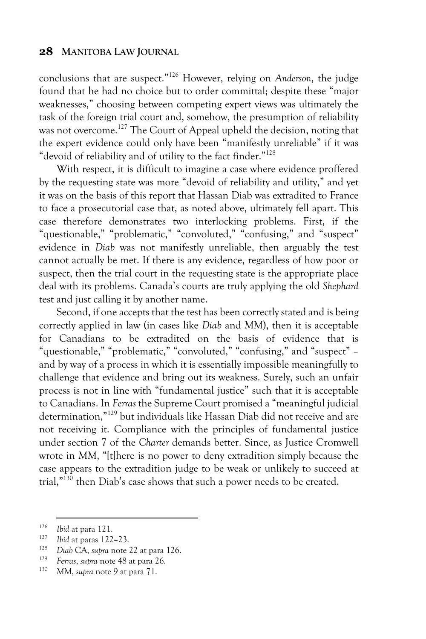conclusions that are suspect."126 However, relying on *Anderson*, the judge found that he had no choice but to order committal; despite these "major weaknesses," choosing between competing expert views was ultimately the task of the foreign trial court and, somehow, the presumption of reliability was not overcome.<sup>127</sup> The Court of Appeal upheld the decision, noting that the expert evidence could only have been "manifestly unreliable" if it was "devoid of reliability and of utility to the fact finder."<sup>128</sup>

With respect, it is difficult to imagine a case where evidence proffered by the requesting state was more "devoid of reliability and utility," and yet it was on the basis of this report that Hassan Diab was extradited to France to face a prosecutorial case that, as noted above, ultimately fell apart. This case therefore demonstrates two interlocking problems. First, if the "questionable," "problematic," "convoluted," "confusing," and "suspect" evidence in *Diab* was not manifestly unreliable, then arguably the test cannot actually be met. If there is any evidence, regardless of how poor or suspect, then the trial court in the requesting state is the appropriate place deal with its problems. Canada's courts are truly applying the old *Shephard* test and just calling it by another name.

Second, if one accepts that the test has been correctly stated and is being correctly applied in law (in cases like *Diab* and *MM*), then it is acceptable for Canadians to be extradited on the basis of evidence that is "questionable," "problematic," "convoluted," "confusing," and "suspect" – and by way of a process in which it is essentially impossible meaningfully to challenge that evidence and bring out its weakness. Surely, such an unfair process is not in line with "fundamental justice" such that it is acceptable to Canadians. In *Ferras* the Supreme Court promised a "meaningful judicial determination,"129 but individuals like Hassan Diab did not receive and are not receiving it. Compliance with the principles of fundamental justice under section 7 of the *Charter* demands better. Since, as Justice Cromwell wrote in *MM*, "[t]here is no power to deny extradition simply because the case appears to the extradition judge to be weak or unlikely to succeed at trial,"130 then Diab's case shows that such a power needs to be created.

<sup>126</sup> *Ibid* at para 121.

<sup>127</sup> *Ibid* at paras 122–23.

<sup>128</sup> *Diab* CA, *supra* note 22 at para 126.

<sup>&</sup>lt;sup>129</sup> *Ferras*, *supra* note 48 at para 26.<br><sup>130</sup> **MM** when pote 9 of para 71

MM, *supra* note 9 at para 71.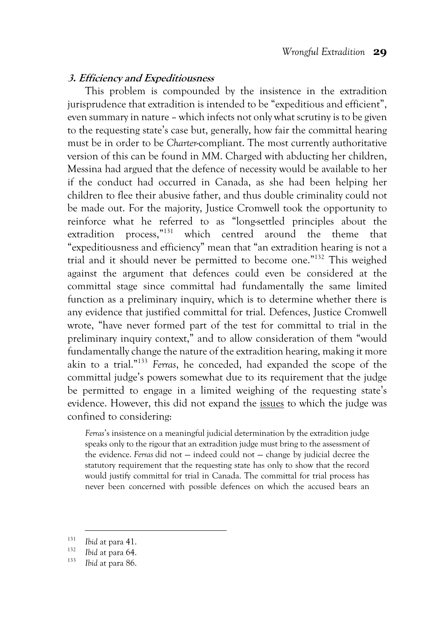#### **3. Efficiency and Expeditiousness**

This problem is compounded by the insistence in the extradition jurisprudence that extradition is intended to be "expeditious and efficient", even summary in nature – which infects not only what scrutiny is to be given to the requesting state's case but, generally, how fair the committal hearing must be in order to be *Charter*-compliant. The most currently authoritative version of this can be found in *MM*. Charged with abducting her children, Messina had argued that the defence of necessity would be available to her if the conduct had occurred in Canada, as she had been helping her children to flee their abusive father, and thus double criminality could not be made out. For the majority, Justice Cromwell took the opportunity to reinforce what he referred to as "long-settled principles about the extradition process,"131 which centred around the theme that "expeditiousness and efficiency" mean that "an extradition hearing is not a trial and it should never be permitted to become one." <sup>132</sup> This weighed against the argument that defences could even be considered at the committal stage since committal had fundamentally the same limited function as a preliminary inquiry, which is to determine whether there is any evidence that justified committal for trial. Defences, Justice Cromwell wrote, "have never formed part of the test for committal to trial in the preliminary inquiry context," and to allow consideration of them "would fundamentally change the nature of the extradition hearing, making it more akin to a trial."133 *Ferras*, he conceded, had expanded the scope of the committal judge's powers somewhat due to its requirement that the judge be permitted to engage in a limited weighing of the requesting state's evidence. However, this did not expand the issues to which the judge was confined to considering:

*Ferras*'s insistence on a meaningful judicial determination by the extradition judge speaks only to the rigour that an extradition judge must bring to the assessment of the evidence. *Ferras* did not — indeed could not — change by judicial decree the statutory requirement that the requesting state has only to show that the record would justify committal for trial in Canada. The committal for trial process has never been concerned with possible defences on which the accused bears an

<sup>131</sup> *Ibid* at para 41.

<sup>132</sup> *Ibid* at para 64.

<sup>133</sup> *Ibid* at para 86.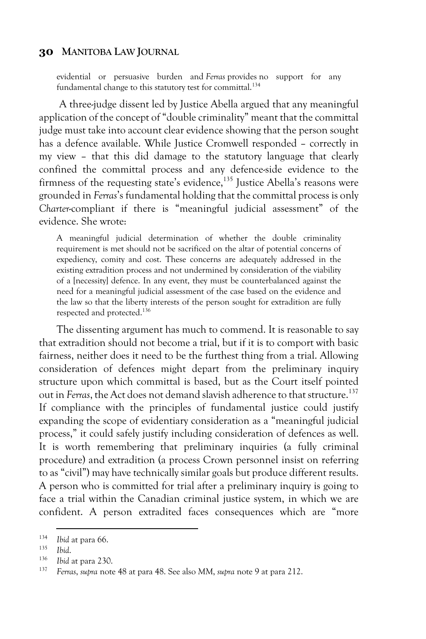evidential or persuasive burden and *Ferras* provides no support for any fundamental change to this statutory test for committal.<sup>134</sup>

A three-judge dissent led by Justice Abella argued that any meaningful application of the concept of "double criminality" meant that the committal judge must take into account clear evidence showing that the person sought has a defence available. While Justice Cromwell responded – correctly in my view – that this did damage to the statutory language that clearly confined the committal process and any defence-side evidence to the firmness of the requesting state's evidence,<sup>135</sup> Justice Abella's reasons were grounded in *Ferras*'s fundamental holding that the committal process is only *Charter*-compliant if there is "meaningful judicial assessment" of the evidence. She wrote:

A meaningful judicial determination of whether the double criminality requirement is met should not be sacrificed on the altar of potential concerns of expediency, comity and cost. These concerns are adequately addressed in the existing extradition process and not undermined by consideration of the viability of a [necessity] defence. In any event, they must be counterbalanced against the need for a meaningful judicial assessment of the case based on the evidence and the law so that the liberty interests of the person sought for extradition are fully respected and protected.136

The dissenting argument has much to commend. It is reasonable to say that extradition should not become a trial, but if it is to comport with basic fairness, neither does it need to be the furthest thing from a trial. Allowing consideration of defences might depart from the preliminary inquiry structure upon which committal is based, but as the Court itself pointed out in *Ferras*, the Act does not demand slavish adherence to that structure.137 If compliance with the principles of fundamental justice could justify expanding the scope of evidentiary consideration as a "meaningful judicial process," it could safely justify including consideration of defences as well. It is worth remembering that preliminary inquiries (a fully criminal procedure) and extradition (a process Crown personnel insist on referring to as "civil") may have technically similar goals but produce different results. A person who is committed for trial after a preliminary inquiry is going to face a trial within the Canadian criminal justice system, in which we are confident. A person extradited faces consequences which are "more

<sup>&</sup>lt;sup>134</sup> *Ibid* at para 66.

<sup>135</sup> *Ibid*.

<sup>136</sup> *Ibid* at para 230.

<sup>137</sup> *Ferras*, *supra* note 48 at para 48. See also *MM*, *supra* note 9 at para 212.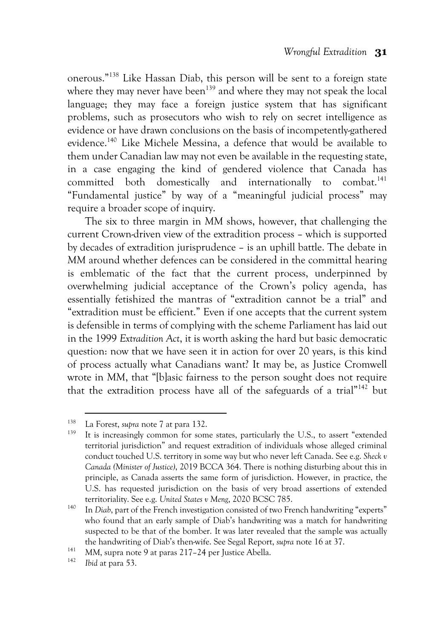onerous."138 Like Hassan Diab, this person will be sent to a foreign state where they may never have been<sup>139</sup> and where they may not speak the local language; they may face a foreign justice system that has significant problems, such as prosecutors who wish to rely on secret intelligence as evidence or have drawn conclusions on the basis of incompetently-gathered evidence. <sup>140</sup> Like Michele Messina, a defence that would be available to them under Canadian law may not even be available in the requesting state, in a case engaging the kind of gendered violence that Canada has committed both domestically and internationally to combat. 141 "Fundamental justice" by way of a "meaningful judicial process" may require a broader scope of inquiry.

The six to three margin in *MM* shows, however, that challenging the current Crown-driven view of the extradition process – which is supported by decades of extradition jurisprudence – is an uphill battle. The debate in *MM* around whether defences can be considered in the committal hearing is emblematic of the fact that the current process, underpinned by overwhelming judicial acceptance of the Crown's policy agenda, has essentially fetishized the mantras of "extradition cannot be a trial" and "extradition must be efficient." Even if one accepts that the current system is defensible in terms of complying with the scheme Parliament has laid out in the 1999 *Extradition Act*, it is worth asking the hard but basic democratic question: now that we have seen it in action for over 20 years, is this kind of process actually what Canadians want? It may be, as Justice Cromwell wrote in MM, that "[b]asic fairness to the person sought does not require that the extradition process have all of the safeguards of a trial $n_{142}$  but

<sup>&</sup>lt;sup>138</sup> La Forest, *supra* note 7 at para 132.<br><sup>139</sup> It is increasingly common for some states, particularly the U.S., to assert "extended territorial jurisdiction" and request extradition of individuals whose alleged criminal conduct touched U.S. territory in some way but who never left Canada. See e.g. *Sheck v Canada (Minister of Justice)*, 2019 BCCA 364. There is nothing disturbing about this in principle, as Canada asserts the same form of jurisdiction. However, in practice, the U.S. has requested jurisdiction on the basis of very broad assertions of extended territoriality. See e.g. *United States v Meng*, 2020 BCSC 785.

<sup>&</sup>lt;sup>140</sup> In *Diab*, part of the French investigation consisted of two French handwriting "experts" who found that an early sample of Diab's handwriting was a match for handwriting suspected to be that of the bomber. It was later revealed that the sample was actually the handwriting of Diab's then-wife. See Segal Report, *supra* note 16 at 37.

<sup>&</sup>lt;sup>141</sup> MM, supra note 9 at paras 217–24 per Justice Abella.<br><sup>142</sup> Ikid at para 53

*Ibid* at para 53.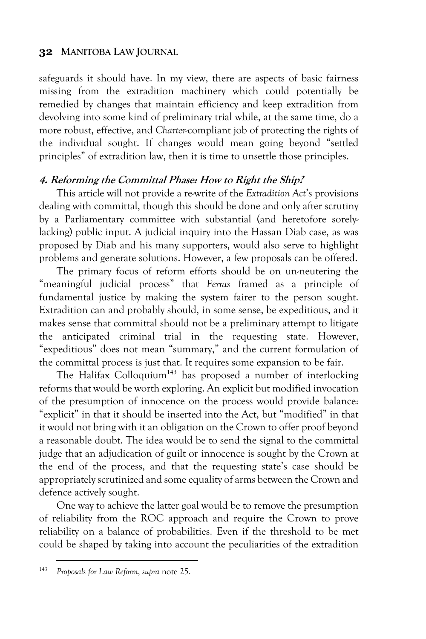safeguards it should have. In my view, there are aspects of basic fairness missing from the extradition machinery which could potentially be remedied by changes that maintain efficiency and keep extradition from devolving into some kind of preliminary trial while, at the same time, do a more robust, effective, and *Charter*-compliant job of protecting the rights of the individual sought. If changes would mean going beyond "settled principles" of extradition law, then it is time to unsettle those principles.

#### **4. Reforming the Committal Phase: How to Right the Ship?**

This article will not provide a re-write of the *Extradition Act*'s provisions dealing with committal, though this should be done and only after scrutiny by a Parliamentary committee with substantial (and heretofore sorelylacking) public input. A judicial inquiry into the Hassan Diab case, as was proposed by Diab and his many supporters, would also serve to highlight problems and generate solutions. However, a few proposals can be offered.

The primary focus of reform efforts should be on un-neutering the "meaningful judicial process" that *Ferras* framed as a principle of fundamental justice by making the system fairer to the person sought. Extradition can and probably should, in some sense, be expeditious, and it makes sense that committal should not be a preliminary attempt to litigate the anticipated criminal trial in the requesting state. However, "expeditious" does not mean "summary," and the current formulation of the committal process is just that. It requires some expansion to be fair.

The Halifax Colloquium<sup>143</sup> has proposed a number of interlocking reforms that would be worth exploring. An explicit but modified invocation of the presumption of innocence on the process would provide balance: "explicit" in that it should be inserted into the Act, but "modified" in that it would not bring with it an obligation on the Crown to offer proof beyond a reasonable doubt. The idea would be to send the signal to the committal judge that an adjudication of guilt or innocence is sought by the Crown at the end of the process, and that the requesting state's case should be appropriately scrutinized and some equality of arms between the Crown and defence actively sought.

One way to achieve the latter goal would be to remove the presumption of reliability from the ROC approach and require the Crown to prove reliability on a balance of probabilities. Even if the threshold to be met could be shaped by taking into account the peculiarities of the extradition

<sup>143</sup> *Proposals for Law Reform*, *supra* note 25.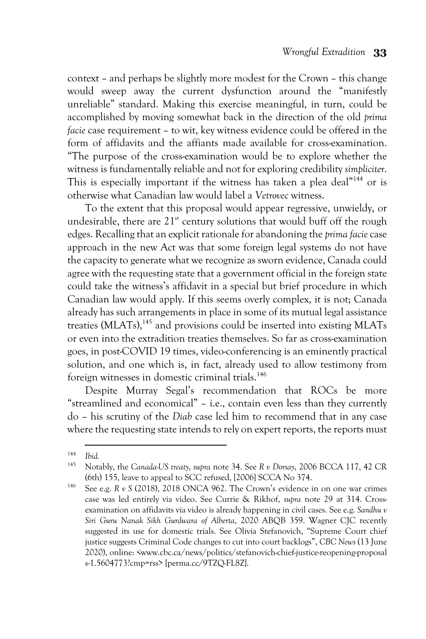context – and perhaps be slightly more modest for the Crown – this change would sweep away the current dysfunction around the "manifestly unreliable" standard. Making this exercise meaningful, in turn, could be accomplished by moving somewhat back in the direction of the old *prima facie* case requirement – to wit, key witness evidence could be offered in the form of affidavits and the affiants made available for cross-examination. "The purpose of the cross-examination would be to explore whether the witness is fundamentally reliable and not for exploring credibility *simpliciter*. This is especially important if the witness has taken a plea deal"<sup>144</sup> or is otherwise what Canadian law would label a *Vetrovec* witness.

To the extent that this proposal would appear regressive, unwieldy, or undesirable, there are  $21<sup>st</sup>$  century solutions that would buff off the rough edges. Recalling that an explicit rationale for abandoning the *prima facie*case approach in the new Act was that some foreign legal systems do not have the capacity to generate what we recognize as sworn evidence, Canada could agree with the requesting state that a government official in the foreign state could take the witness's affidavit in a special but brief procedure in which Canadian law would apply. If this seems overly complex, it is not; Canada already has such arrangements in place in some of its mutual legal assistance treaties (MLATs),<sup>145</sup> and provisions could be inserted into existing MLATs or even into the extradition treaties themselves. So far as cross-examination goes, in post-COVID 19 times, video-conferencing is an eminently practical solution, and one which is, in fact, already used to allow testimony from foreign witnesses in domestic criminal trials.<sup>146</sup>

Despite Murray Segal's recommendation that ROCs be more "streamlined and economical" – i.e., contain even less than they currently do – his scrutiny of the *Diab* case led him to recommend that in any case where the requesting state intends to rely on expert reports, the reports must

<sup>144</sup> <sup>144</sup> *Ibid.*

<sup>145</sup> Notably, the *Canada-US treaty*, *supra* note 34. See *R v Dorsay*, 2006 BCCA 117, 42 CR (6th) 155, leave to appeal to SCC refused, [2006] SCCA No 374.

<sup>146</sup> See e.g. *R v S* (2018), 2018 ONCA 962. The Crown's evidence in on one war crimes case was led entirely via video. See Currie & Rikhof, *supra* note 29 at 314. Crossexamination on affidavits via video is already happening in civil cases. See e.g. *Sandhu v Siri Guru Nanak Sikh Gurdwara of Alberta*, 2020 ABQB 359. Wagner CJC recently suggested its use for domestic trials. See Olivia Stefanovich, "Supreme Court chief justice suggests Criminal Code changes to cut into court backlogs", *CBC News* (13 June 2020), online: <www.cbc.ca/news/politics/stefanovich-chief-justice-reopening-proposal s-1.5604773?cmp=rss> [perma.cc/9TZQ-FL8Z].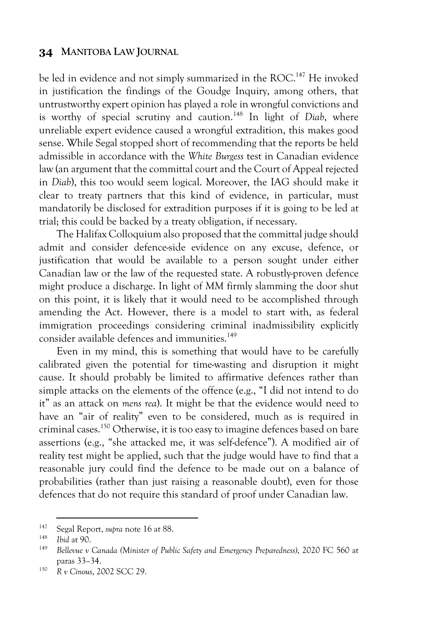be led in evidence and not simply summarized in the ROC.<sup>147</sup> He invoked in justification the findings of the Goudge Inquiry, among others, that untrustworthy expert opinion has played a role in wrongful convictions and is worthy of special scrutiny and caution. <sup>148</sup> In light of *Diab*, where unreliable expert evidence caused a wrongful extradition, this makes good sense. While Segal stopped short of recommending that the reports be held admissible in accordance with the *White Burgess* test in Canadian evidence law (an argument that the committal court and the Court of Appeal rejected in *Diab*), this too would seem logical. Moreover, the IAG should make it clear to treaty partners that this kind of evidence, in particular, must mandatorily be disclosed for extradition purposes if it is going to be led at trial; this could be backed by a treaty obligation, if necessary.

The Halifax Colloquium also proposed that the committal judge should admit and consider defence-side evidence on any excuse, defence, or justification that would be available to a person sought under either Canadian law or the law of the requested state. A robustly-proven defence might produce a discharge. In light of *MM* firmly slamming the door shut on this point, it is likely that it would need to be accomplished through amending the Act. However, there is a model to start with, as federal immigration proceedings considering criminal inadmissibility explicitly consider available defences and immunities.<sup>149</sup>

Even in my mind, this is something that would have to be carefully calibrated given the potential for time-wasting and disruption it might cause. It should probably be limited to affirmative defences rather than simple attacks on the elements of the offence (e.g., "I did not intend to do it" as an attack on *mens rea*). It might be that the evidence would need to have an "air of reality" even to be considered, much as is required in criminal cases. <sup>150</sup> Otherwise, it is too easy to imagine defences based on bare assertions (e.g., "she attacked me, it was self-defence"). A modified air of reality test might be applied, such that the judge would have to find that a reasonable jury could find the defence to be made out on a balance of probabilities (rather than just raising a reasonable doubt), even for those defences that do not require this standard of proof under Canadian law.

<sup>147</sup> Segal Report, *supra* note 16 at 88.

<sup>148</sup> *Ibid* at 90.

<sup>149</sup> *Bellevue v Canada (Minister of Public Safety and Emergency Preparedness)*, 2020 FC 560 at paras 33–34.

<sup>150</sup> *R v Cinous*, 2002 SCC 29.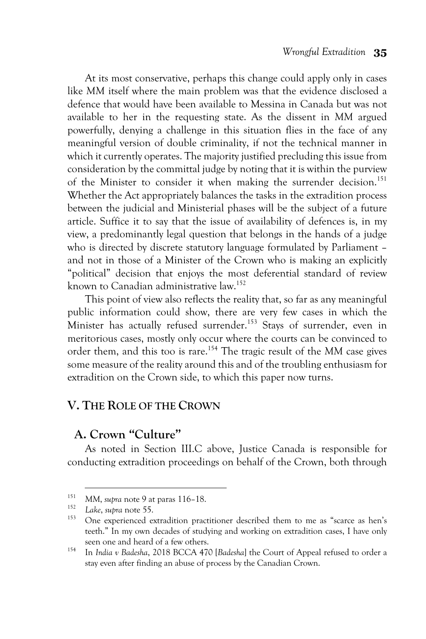At its most conservative, perhaps this change could apply only in cases like *MM* itself where the main problem was that the evidence disclosed a defence that would have been available to Messina in Canada but was not available to her in the requesting state. As the dissent in *MM* argued powerfully, denying a challenge in this situation flies in the face of any meaningful version of double criminality, if not the technical manner in which it currently operates. The majority justified precluding this issue from consideration by the committal judge by noting that it is within the purview of the Minister to consider it when making the surrender decision.<sup>151</sup> Whether the Act appropriately balances the tasks in the extradition process between the judicial and Ministerial phases will be the subject of a future article. Suffice it to say that the issue of availability of defences is, in my view, a predominantly legal question that belongs in the hands of a judge who is directed by discrete statutory language formulated by Parliament – and not in those of a Minister of the Crown who is making an explicitly "political" decision that enjoys the most deferential standard of review known to Canadian administrative law. 152

This point of view also reflects the reality that, so far as any meaningful public information could show, there are very few cases in which the Minister has actually refused surrender. <sup>153</sup> Stays of surrender, even in meritorious cases, mostly only occur where the courts can be convinced to order them, and this too is rare. <sup>154</sup> The tragic result of the *MM* case gives some measure of the reality around this and of the troubling enthusiasm for extradition on the Crown side, to which this paper now turns.

## **V. THE ROLE OF THE CROWN**

## **A. Crown "Culture"**

As noted in Section III.C above, Justice Canada is responsible for conducting extradition proceedings on behalf of the Crown, both through

<sup>151</sup> *MM*, *supra* note 9 at paras 116–18.

<sup>152</sup> *Lake*, *supra* note 55.

One experienced extradition practitioner described them to me as "scarce as hen's teeth." In my own decades of studying and working on extradition cases, I have only seen one and heard of a few others.

<sup>154</sup> In *India v Badesha*, 2018 BCCA 470 [*Badesha*] the Court of Appeal refused to order a stay even after finding an abuse of process by the Canadian Crown.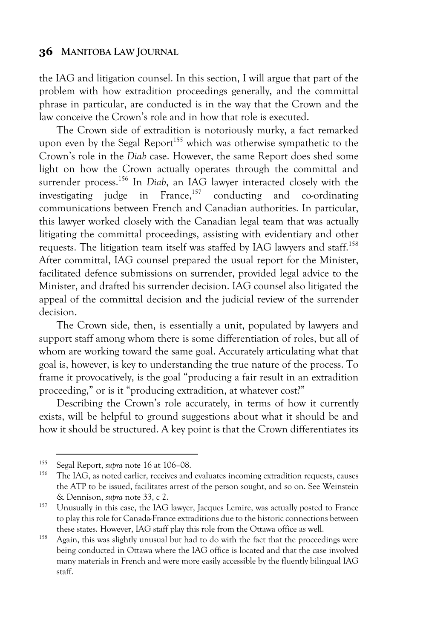the IAG and litigation counsel. In this section, I will argue that part of the problem with how extradition proceedings generally, and the committal phrase in particular, are conducted is in the way that the Crown and the law conceive the Crown's role and in how that role is executed.

The Crown side of extradition is notoriously murky, a fact remarked upon even by the Segal Report<sup>155</sup> which was otherwise sympathetic to the Crown's role in the *Diab* case. However, the same Report does shed some light on how the Crown actually operates through the committal and surrender process. <sup>156</sup> In *Diab*, an IAG lawyer interacted closely with the investigating judge in France,  $157$  conducting and co-ordinating communications between French and Canadian authorities. In particular, this lawyer worked closely with the Canadian legal team that was actually litigating the committal proceedings, assisting with evidentiary and other requests. The litigation team itself was staffed by IAG lawyers and staff.158 After committal, IAG counsel prepared the usual report for the Minister, facilitated defence submissions on surrender, provided legal advice to the Minister, and drafted his surrender decision. IAG counsel also litigated the appeal of the committal decision and the judicial review of the surrender decision.

The Crown side, then, is essentially a unit, populated by lawyers and support staff among whom there is some differentiation of roles, but all of whom are working toward the same goal. Accurately articulating what that goal is, however, is key to understanding the true nature of the process. To frame it provocatively, is the goal "producing a fair result in an extradition proceeding," or is it "producing extradition, at whatever cost?"

Describing the Crown's role accurately, in terms of how it currently exists, will be helpful to ground suggestions about what it should be and how it should be structured. A key point is that the Crown differentiates its

<sup>155</sup> Segal Report, *supra* note 16 at 106–08.

<sup>156</sup> The IAG, as noted earlier, receives and evaluates incoming extradition requests, causes the ATP to be issued, facilitates arrest of the person sought, and so on. See Weinstein & Dennison, *supra* note 33, c 2.

<sup>&</sup>lt;sup>157</sup> Unusually in this case, the IAG lawyer, Jacques Lemire, was actually posted to France to play this role for Canada-France extraditions due to the historic connections between these states. However, IAG staff play this role from the Ottawa office as well.

<sup>&</sup>lt;sup>158</sup> Again, this was slightly unusual but had to do with the fact that the proceedings were being conducted in Ottawa where the IAG office is located and that the case involved many materials in French and were more easily accessible by the fluently bilingual IAG staff.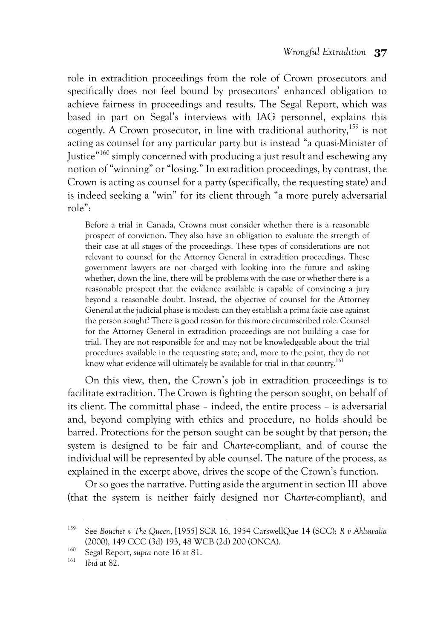role in extradition proceedings from the role of Crown prosecutors and specifically does not feel bound by prosecutors' enhanced obligation to achieve fairness in proceedings and results. The Segal Report, which was based in part on Segal's interviews with IAG personnel, explains this cogently. A Crown prosecutor, in line with traditional authority,  $159$  is not acting as counsel for any particular party but is instead "a quasi-Minister of Justice"160 simply concerned with producing a just result and eschewing any notion of "winning" or "losing." In extradition proceedings, by contrast, the Crown is acting as counsel for a party (specifically, the requesting state) and is indeed seeking a "win" for its client through "a more purely adversarial role":

Before a trial in Canada, Crowns must consider whether there is a reasonable prospect of conviction. They also have an obligation to evaluate the strength of their case at all stages of the proceedings. These types of considerations are not relevant to counsel for the Attorney General in extradition proceedings. These government lawyers are not charged with looking into the future and asking whether, down the line, there will be problems with the case or whether there is a reasonable prospect that the evidence available is capable of convincing a jury beyond a reasonable doubt. Instead, the objective of counsel for the Attorney General at the judicial phase is modest: can they establish a prima facie case against the person sought? There is good reason for this more circumscribed role. Counsel for the Attorney General in extradition proceedings are not building a case for trial. They are not responsible for and may not be knowledgeable about the trial procedures available in the requesting state; and, more to the point, they do not know what evidence will ultimately be available for trial in that country.<sup>161</sup>

On this view, then, the Crown's job in extradition proceedings is to facilitate extradition. The Crown is fighting the person sought, on behalf of its client. The committal phase – indeed, the entire process – is adversarial and, beyond complying with ethics and procedure, no holds should be barred. Protections for the person sought can be sought by that person; the system is designed to be fair and *Charter*-compliant, and of course the individual will be represented by able counsel. The nature of the process, as explained in the excerpt above, drives the scope of the Crown's function.

Or so goes the narrative. Putting aside the argument in section III above (that the system is neither fairly designed nor *Charter*-compliant), and

<sup>159</sup> See *Boucher v The Queen*, [1955] SCR 16, 1954 CarswellQue 14 (SCC); *R v Ahluwalia* (2000), 149 CCC (3d) 193, 48 WCB (2d) 200 (ONCA).

<sup>160</sup> Segal Report, *supra* note 16 at 81.

<sup>161</sup> *Ibid* at 82.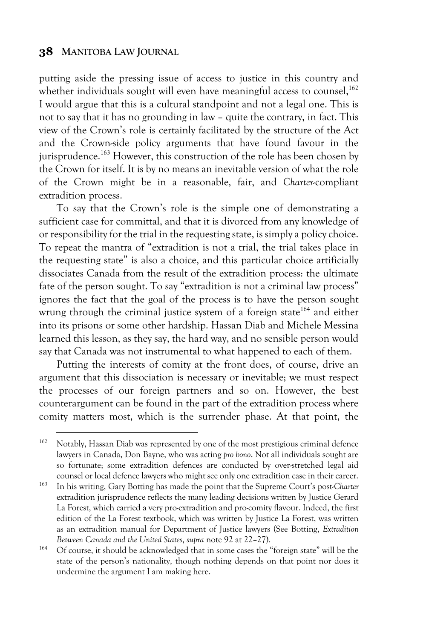putting aside the pressing issue of access to justice in this country and whether individuals sought will even have meaningful access to counsel, 162 I would argue that this is a cultural standpoint and not a legal one. This is not to say that it has no grounding in law – quite the contrary, in fact. This view of the Crown's role is certainly facilitated by the structure of the Act and the Crown-side policy arguments that have found favour in the jurisprudence.<sup>163</sup> However, this construction of the role has been chosen by the Crown for itself. It is by no means an inevitable version of what the role of the Crown might be in a reasonable, fair, and *Charter*-compliant extradition process.

To say that the Crown's role is the simple one of demonstrating a sufficient case for committal, and that it is divorced from any knowledge of or responsibility for the trial in the requesting state, is simply a policy choice. To repeat the mantra of "extradition is not a trial, the trial takes place in the requesting state" is also a choice, and this particular choice artificially dissociates Canada from the result of the extradition process: the ultimate fate of the person sought. To say "extradition is not a criminal law process" ignores the fact that the goal of the process is to have the person sought wrung through the criminal justice system of a foreign state<sup>164</sup> and either into its prisons or some other hardship. Hassan Diab and Michele Messina learned this lesson, as they say, the hard way, and no sensible person would say that Canada was not instrumental to what happened to each of them.

Putting the interests of comity at the front does, of course, drive an argument that this dissociation is necessary or inevitable; we must respect the processes of our foreign partners and so on. However, the best counterargument can be found in the part of the extradition process where comity matters most, which is the surrender phase. At that point, the

<sup>&</sup>lt;sup>162</sup> Notably, Hassan Diab was represented by one of the most prestigious criminal defence lawyers in Canada, Don Bayne, who was acting *pro bono*. Not all individuals sought are so fortunate; some extradition defences are conducted by over-stretched legal aid counsel or local defence lawyers who might see only one extradition case in their career.

<sup>163</sup> In his writing, Gary Botting has made the point that the Supreme Court's post-*Charter* extradition jurisprudence reflects the many leading decisions written by Justice Gerard La Forest, which carried a very pro-extradition and pro-comity flavour. Indeed, the first edition of the La Forest textbook, which was written by Justice La Forest, was written as an extradition manual for Department of Justice lawyers (See Botting, *Extradition Between Canada and the United States*, *supra* note 92 at 22–27).

<sup>164</sup> Of course, it should be acknowledged that in some cases the "foreign state" will be the state of the person's nationality, though nothing depends on that point nor does it undermine the argument I am making here.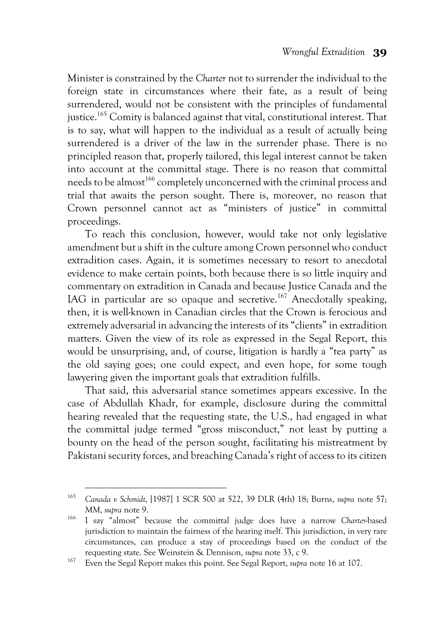Minister is constrained by the *Charter* not to surrender the individual to the foreign state in circumstances where their fate, as a result of being surrendered, would not be consistent with the principles of fundamental justice.<sup>165</sup> Comity is balanced against that vital, constitutional interest. That is to say, what will happen to the individual as a result of actually being surrendered is a driver of the law in the surrender phase. There is no principled reason that, properly tailored, this legal interest cannot be taken into account at the committal stage. There is no reason that committal needs to be almost<sup>166</sup> completely unconcerned with the criminal process and trial that awaits the person sought. There is, moreover, no reason that Crown personnel cannot act as "ministers of justice" in committal proceedings.

To reach this conclusion, however, would take not only legislative amendment but a shift in the culture among Crown personnel who conduct extradition cases. Again, it is sometimes necessary to resort to anecdotal evidence to make certain points, both because there is so little inquiry and commentary on extradition in Canada and because Justice Canada and the IAG in particular are so opaque and secretive.<sup>167</sup> Anecdotally speaking, then, it is well-known in Canadian circles that the Crown is ferocious and extremely adversarial in advancing the interests of its "clients" in extradition matters. Given the view of its role as expressed in the Segal Report, this would be unsurprising, and, of course, litigation is hardly a "tea party" as the old saying goes; one could expect, and even hope, for some tough lawyering given the important goals that extradition fulfills.

That said, this adversarial stance sometimes appears excessive. In the case of Abdullah Khadr, for example, disclosure during the committal hearing revealed that the requesting state, the U.S., had engaged in what the committal judge termed "gross misconduct," not least by putting a bounty on the head of the person sought, facilitating his mistreatment by Pakistani security forces, and breaching Canada's right of access to its citizen

<sup>165</sup> *Canada v Schmidt*, [1987] 1 SCR 500 at 522, 39 DLR (4th) 18; Burns, *supra* note 57; *MM*, *supra* note 9.

<sup>166</sup> I say "almost" because the committal judge does have a narrow *Charter*-based jurisdiction to maintain the fairness of the hearing itself. This jurisdiction, in very rare circumstances, can produce a stay of proceedings based on the conduct of the requesting state. See Weinstein & Dennison, *supra* note 33, c 9.

<sup>167</sup> Even the Segal Report makes this point. See Segal Report, *supra* note 16 at 107.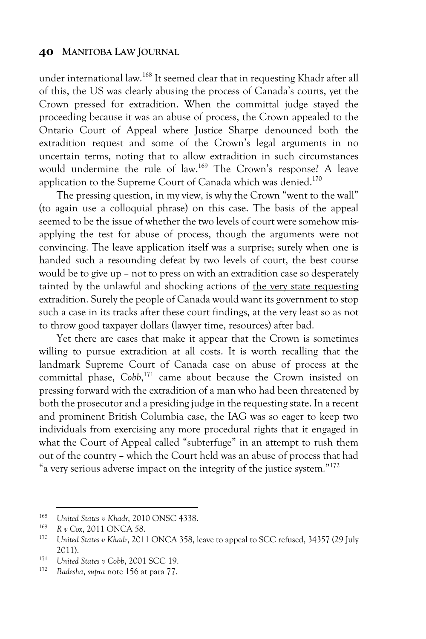under international law. <sup>168</sup> It seemed clear that in requesting Khadr after all of this, the US was clearly abusing the process of Canada's courts, yet the Crown pressed for extradition. When the committal judge stayed the proceeding because it was an abuse of process, the Crown appealed to the Ontario Court of Appeal where Justice Sharpe denounced both the extradition request and some of the Crown's legal arguments in no uncertain terms, noting that to allow extradition in such circumstances would undermine the rule of law.<sup>169</sup> The Crown's response? A leave application to the Supreme Court of Canada which was denied.<sup>170</sup>

The pressing question, in my view, is why the Crown "went to the wall" (to again use a colloquial phrase) on this case. The basis of the appeal seemed to be the issue of whether the two levels of court were somehow misapplying the test for abuse of process, though the arguments were not convincing. The leave application itself was a surprise; surely when one is handed such a resounding defeat by two levels of court, the best course would be to give up – not to press on with an extradition case so desperately tainted by the unlawful and shocking actions of the very state requesting extradition. Surely the people of Canada would want its government to stop such a case in its tracks after these court findings, at the very least so as not to throw good taxpayer dollars (lawyer time, resources) after bad.

Yet there are cases that make it appear that the Crown is sometimes willing to pursue extradition at all costs. It is worth recalling that the landmark Supreme Court of Canada case on abuse of process at the committal phase, *Cobb*, <sup>171</sup> came about because the Crown insisted on pressing forward with the extradition of a man who had been threatened by both the prosecutor and a presiding judge in the requesting state. In a recent and prominent British Columbia case, the IAG was so eager to keep two individuals from exercising any more procedural rights that it engaged in what the Court of Appeal called "subterfuge" in an attempt to rush them out of the country – which the Court held was an abuse of process that had "a very serious adverse impact on the integrity of the justice system."172

<sup>&</sup>lt;sup>168</sup> *United States v Khadr*, 2010 ONSC 4338.<br><sup>169</sup> **P** *u* Cay 2011 ONC A 58

<sup>169</sup> *R v Cox*, 2011 ONCA 58.

<sup>170</sup> *United States v Khadr*, 2011 ONCA 358, leave to appeal to SCC refused, 34357 (29 July 2011). 171 *United States v Cobb*, 2001 SCC 19.

<sup>172</sup> *Badesha*, *supra* note 156 at para 77.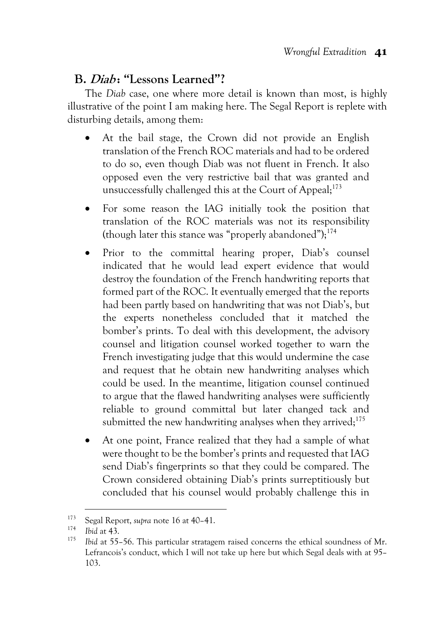## **B. Diab : "Lessons Learned"?**

The *Diab* case, one where more detail is known than most, is highly illustrative of the point I am making here. The Segal Report is replete with disturbing details, among them:

- At the bail stage, the Crown did not provide an English translation of the French ROC materials and had to be ordered to do so, even though Diab was not fluent in French. It also opposed even the very restrictive bail that was granted and unsuccessfully challenged this at the Court of Appeal;<sup>173</sup>
- For some reason the IAG initially took the position that translation of the ROC materials was not its responsibility (though later this stance was "properly abandoned");<sup>174</sup>
- Prior to the committal hearing proper, Diab's counsel indicated that he would lead expert evidence that would destroy the foundation of the French handwriting reports that formed part of the ROC. It eventually emerged that the reports had been partly based on handwriting that was not Diab's, but the experts nonetheless concluded that it matched the bomber's prints. To deal with this development, the advisory counsel and litigation counsel worked together to warn the French investigating judge that this would undermine the case and request that he obtain new handwriting analyses which could be used. In the meantime, litigation counsel continued to argue that the flawed handwriting analyses were sufficiently reliable to ground committal but later changed tack and submitted the new handwriting analyses when they arrived; $175$
- At one point, France realized that they had a sample of what were thought to be the bomber's prints and requested that IAG send Diab's fingerprints so that they could be compared. The Crown considered obtaining Diab's prints surreptitiously but concluded that his counsel would probably challenge this in

<sup>173</sup> Segal Report, *supra* note 16 at 40–41.

 $\frac{174}{175}$  *Ibid* at 43.

*Ibid* at 55–56. This particular stratagem raised concerns the ethical soundness of Mr. Lefrancois's conduct, which I will not take up here but which Segal deals with at 95– 103.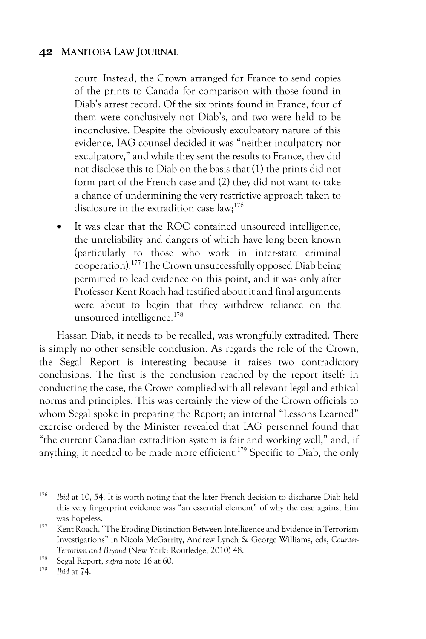court. Instead, the Crown arranged for France to send copies of the prints to Canada for comparison with those found in Diab's arrest record. Of the six prints found in France, four of them were conclusively not Diab's, and two were held to be inconclusive. Despite the obviously exculpatory nature of this evidence, IAG counsel decided it was "neither inculpatory nor exculpatory," and while they sent the results to France, they did not disclose this to Diab on the basis that (1) the prints did not form part of the French case and (2) they did not want to take a chance of undermining the very restrictive approach taken to disclosure in the extradition case  $\text{law}; ^{176}$ 

It was clear that the ROC contained unsourced intelligence, the unreliability and dangers of which have long been known (particularly to those who work in inter-state criminal cooperation).177 The Crown unsuccessfully opposed Diab being permitted to lead evidence on this point, and it was only after Professor Kent Roach had testified about it and final arguments were about to begin that they withdrew reliance on the unsourced intelligence.<sup>178</sup>

Hassan Diab, it needs to be recalled, was wrongfully extradited. There is simply no other sensible conclusion. As regards the role of the Crown, the Segal Report is interesting because it raises two contradictory conclusions. The first is the conclusion reached by the report itself: in conducting the case, the Crown complied with all relevant legal and ethical norms and principles. This was certainly the view of the Crown officials to whom Segal spoke in preparing the Report; an internal "Lessons Learned" exercise ordered by the Minister revealed that IAG personnel found that "the current Canadian extradition system is fair and working well," and, if anything, it needed to be made more efficient.<sup>179</sup> Specific to Diab, the only

<sup>176</sup> *Ibid* at 10, 54. It is worth noting that the later French decision to discharge Diab held this very fingerprint evidence was "an essential element" of why the case against him was hopeless.

<sup>&</sup>lt;sup>177</sup> Kent Roach, "The Eroding Distinction Between Intelligence and Evidence in Terrorism Investigations" in Nicola McGarrity, Andrew Lynch & George Williams, eds, *Counter-Terrorism and Beyond* (New York: Routledge, 2010) 48.

<sup>178</sup> Segal Report, *supra* note 16 at 60.

*Ibid* at 74.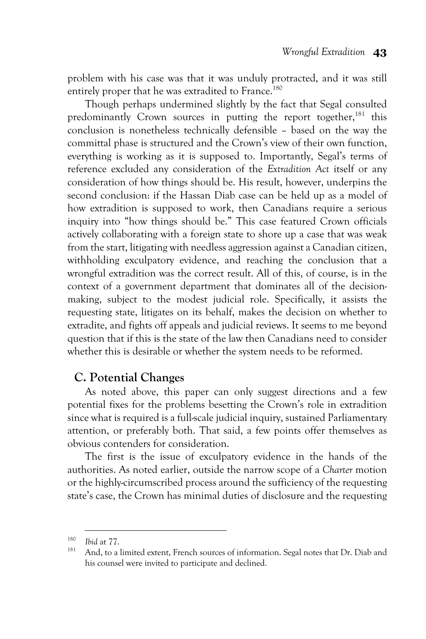problem with his case was that it was unduly protracted, and it was still entirely proper that he was extradited to France.<sup>180</sup>

Though perhaps undermined slightly by the fact that Segal consulted predominantly Crown sources in putting the report together, $181$  this conclusion is nonetheless technically defensible – based on the way the committal phase is structured and the Crown's view of their own function, everything is working as it is supposed to. Importantly, Segal's terms of reference excluded any consideration of the *Extradition Act* itself or any consideration of how things should be. His result, however, underpins the second conclusion: if the Hassan Diab case can be held up as a model of how extradition is supposed to work, then Canadians require a serious inquiry into "how things should be." This case featured Crown officials actively collaborating with a foreign state to shore up a case that was weak from the start, litigating with needless aggression against a Canadian citizen, withholding exculpatory evidence, and reaching the conclusion that a wrongful extradition was the correct result. All of this, of course, is in the context of a government department that dominates all of the decisionmaking, subject to the modest judicial role. Specifically, it assists the requesting state, litigates on its behalf, makes the decision on whether to extradite, and fights off appeals and judicial reviews. It seems to me beyond question that if this is the state of the law then Canadians need to consider whether this is desirable or whether the system needs to be reformed.

## **C. Potential Changes**

As noted above, this paper can only suggest directions and a few potential fixes for the problems besetting the Crown's role in extradition since what is required is a full-scale judicial inquiry, sustained Parliamentary attention, or preferably both. That said, a few points offer themselves as obvious contenders for consideration.

The first is the issue of exculpatory evidence in the hands of the authorities. As noted earlier, outside the narrow scope of a *Charter* motion or the highly-circumscribed process around the sufficiency of the requesting state's case, the Crown has minimal duties of disclosure and the requesting

<sup>180</sup> *Ibid* at 77.

<sup>&</sup>lt;sup>181</sup> And, to a limited extent, French sources of information. Segal notes that Dr. Diab and his counsel were invited to participate and declined.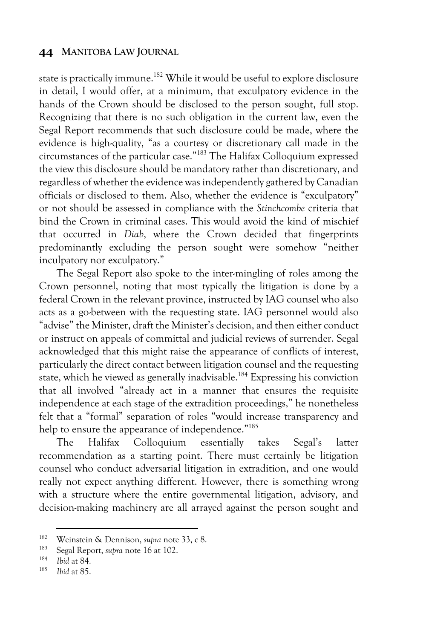state is practically immune.<sup>182</sup> While it would be useful to explore disclosure in detail, I would offer, at a minimum, that exculpatory evidence in the hands of the Crown should be disclosed to the person sought, full stop. Recognizing that there is no such obligation in the current law, even the Segal Report recommends that such disclosure could be made, where the evidence is high-quality, "as a courtesy or discretionary call made in the circumstances of the particular case."183 The Halifax Colloquium expressed the view this disclosure should be mandatory rather than discretionary, and regardless of whether the evidence was independently gathered by Canadian officials or disclosed to them. Also, whether the evidence is "exculpatory" or not should be assessed in compliance with the *Stinchcombe* criteria that bind the Crown in criminal cases. This would avoid the kind of mischief that occurred in *Diab*, where the Crown decided that fingerprints predominantly excluding the person sought were somehow "neither inculpatory nor exculpatory."

The Segal Report also spoke to the inter-mingling of roles among the Crown personnel, noting that most typically the litigation is done by a federal Crown in the relevant province, instructed by IAG counsel who also acts as a go-between with the requesting state. IAG personnel would also "advise" the Minister, draft the Minister's decision, and then either conduct or instruct on appeals of committal and judicial reviews of surrender. Segal acknowledged that this might raise the appearance of conflicts of interest, particularly the direct contact between litigation counsel and the requesting state, which he viewed as generally inadvisable.<sup>184</sup> Expressing his conviction that all involved "already act in a manner that ensures the requisite independence at each stage of the extradition proceedings," he nonetheless felt that a "formal" separation of roles "would increase transparency and help to ensure the appearance of independence."<sup>185</sup>

The Halifax Colloquium essentially takes Segal's latter recommendation as a starting point. There must certainly be litigation counsel who conduct adversarial litigation in extradition, and one would really not expect anything different. However, there is something wrong with a structure where the entire governmental litigation, advisory, and decision-making machinery are all arrayed against the person sought and

<sup>182</sup> Weinstein & Dennison, *supra* note 33, c 8.

<sup>&</sup>lt;sup>183</sup> Segal Report, *supra* note 16 at 102.

<sup>184</sup> *Ibid* at 84.

*Ibid* at 85.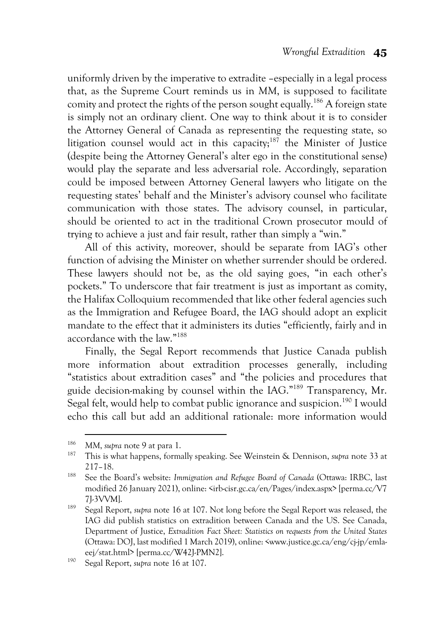uniformly driven by the imperative to extradite –especially in a legal process that, as the Supreme Court reminds us in *MM*, is supposed to facilitate comity and protect the rights of the person sought equally.<sup>186</sup> A foreign state is simply not an ordinary client. One way to think about it is to consider the Attorney General of Canada as representing the requesting state, so litigation counsel would act in this capacity;<sup>187</sup> the Minister of Justice (despite being the Attorney General's alter ego in the constitutional sense) would play the separate and less adversarial role. Accordingly, separation could be imposed between Attorney General lawyers who litigate on the requesting states' behalf and the Minister's advisory counsel who facilitate communication with those states. The advisory counsel, in particular, should be oriented to act in the traditional Crown prosecutor mould of trying to achieve a just and fair result, rather than simply a "win."

All of this activity, moreover, should be separate from IAG's other function of advising the Minister on whether surrender should be ordered. These lawyers should not be, as the old saying goes, "in each other's pockets." To underscore that fair treatment is just as important as comity, the Halifax Colloquium recommended that like other federal agencies such as the Immigration and Refugee Board, the IAG should adopt an explicit mandate to the effect that it administers its duties "efficiently, fairly and in accordance with the law."188

Finally, the Segal Report recommends that Justice Canada publish more information about extradition processes generally, including "statistics about extradition cases" and "the policies and procedures that guide decision-making by counsel within the IAG."189 Transparency, Mr. Segal felt, would help to combat public ignorance and suspicion.<sup>190</sup> I would echo this call but add an additional rationale: more information would

<sup>186</sup> *MM*, *supra* note 9 at para 1.

<sup>187</sup> This is what happens, formally speaking. See Weinstein & Dennison, *supra* note 33 at 217–18.

<sup>188</sup> See the Board's website: *Immigration and Refugee Board of Canada* (Ottawa: IRBC, last modified 26 January 2021), online: <irb-cisr.gc.ca/en/Pages/index.aspx> [perma.cc/V7 7J-3VVM].

<sup>189</sup> Segal Report, *supra* note 16 at 107. Not long before the Segal Report was released, the IAG did publish statistics on extradition between Canada and the US. See Canada, Department of Justice, *Extradition Fact Sheet: Statistics on requests from the United States*  (Ottawa: DOJ, last modified 1 March 2019), online: <www.justice.gc.ca/eng/cj-jp/emlaeej/stat.html> [perma.cc/W42J-PMN2]. 190 Segal Report, *supra* note 16 at 107.